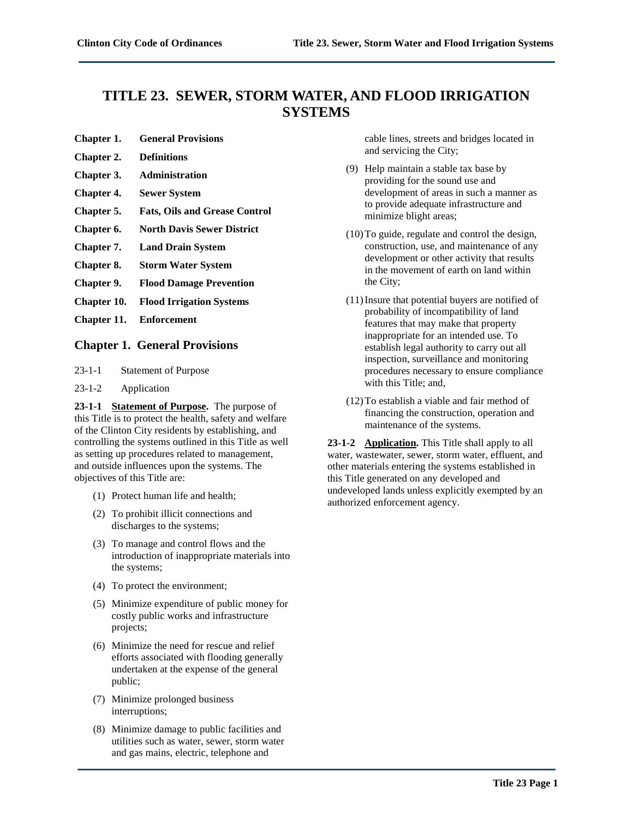# **TITLE 23. SEWER, STORM WATER, AND FLOOD IRRIGATION SYSTEMS**

- **Chapter 1. General Provisions**
- **Chapter 2. Definitions**
- **Chapter 3. Administration**
- **Chapter 4. Sewer System**
- **Chapter 5. Fats, Oils and Grease Control**
- **Chapter 6. North Davis Sewer District**
- **Chapter 7. Land Drain System**
- **Chapter 8. Storm Water System**
- **Chapter 9. Flood Damage Prevention**
- **Chapter 10. Flood Irrigation Systems**
- **Chapter 11. Enforcement**

# **Chapter 1. General Provisions**

- 23-1-1 Statement of Purpose
- 23-1-2 Application

**23-1-1 Statement of Purpose.** The purpose of this Title is to protect the health, safety and welfare of the Clinton City residents by establishing, and controlling the systems outlined in this Title as well as setting up procedures related to management, and outside influences upon the systems. The objectives of this Title are:

- (1) Protect human life and health;
- (2) To prohibit illicit connections and discharges to the systems;
- (3) To manage and control flows and the introduction of inappropriate materials into the systems;
- (4) To protect the environment;
- (5) Minimize expenditure of public money for costly public works and infrastructure projects;
- (6) Minimize the need for rescue and relief efforts associated with flooding generally undertaken at the expense of the general public;
- (7) Minimize prolonged business interruptions;
- (8) Minimize damage to public facilities and utilities such as water, sewer, storm water and gas mains, electric, telephone and

cable lines, streets and bridges located in and servicing the City;

- (9) Help maintain a stable tax base by providing for the sound use and development of areas in such a manner as to provide adequate infrastructure and minimize blight areas;
- (10)To guide, regulate and control the design, construction, use, and maintenance of any development or other activity that results in the movement of earth on land within the City;
- (11)Insure that potential buyers are notified of probability of incompatibility of land features that may make that property inappropriate for an intended use. To establish legal authority to carry out all inspection, surveillance and monitoring procedures necessary to ensure compliance with this Title; and,
- (12)To establish a viable and fair method of financing the construction, operation and maintenance of the systems.

**23-1-2 Application.** This Title shall apply to all water, wastewater, sewer, storm water, effluent, and other materials entering the systems established in this Title generated on any developed and undeveloped lands unless explicitly exempted by an authorized enforcement agency.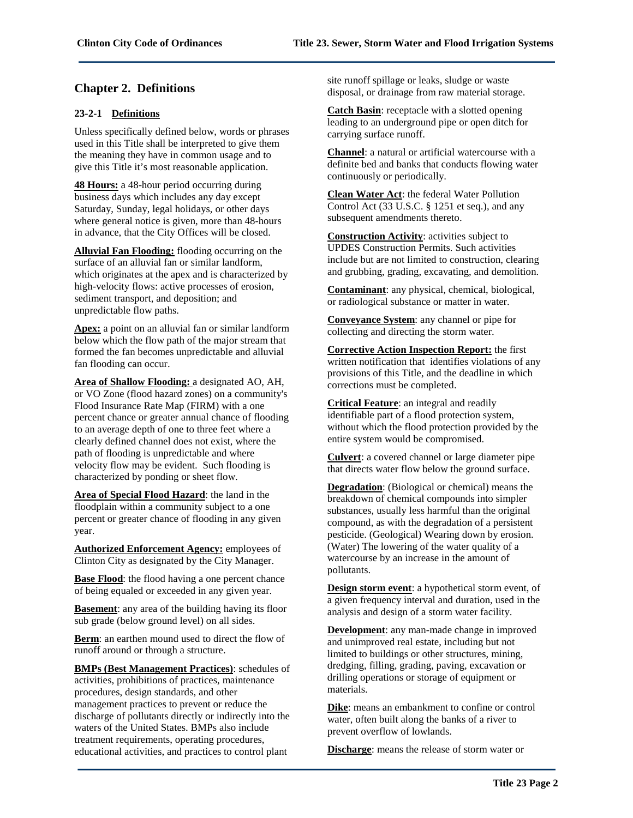# **Chapter 2. Definitions**

# **23-2-1 Definitions**

Unless specifically defined below, words or phrases used in this Title shall be interpreted to give them the meaning they have in common usage and to give this Title it's most reasonable application.

**48 Hours:** a 48-hour period occurring during business days which includes any day except Saturday, Sunday, legal holidays, or other days where general notice is given, more than 48-hours in advance, that the City Offices will be closed.

**Alluvial Fan Flooding:** flooding occurring on the surface of an alluvial fan or similar landform, which originates at the apex and is characterized by high-velocity flows: active processes of erosion, sediment transport, and deposition; and unpredictable flow paths.

**Apex:** a point on an alluvial fan or similar landform below which the flow path of the major stream that formed the fan becomes unpredictable and alluvial fan flooding can occur.

**Area of Shallow Flooding:** a designated AO, AH, or VO Zone (flood hazard zones) on a community's Flood Insurance Rate Map (FIRM) with a one percent chance or greater annual chance of flooding to an average depth of one to three feet where a clearly defined channel does not exist, where the path of flooding is unpredictable and where velocity flow may be evident. Such flooding is characterized by ponding or sheet flow.

**Area of Special Flood Hazard**: the land in the floodplain within a community subject to a one percent or greater chance of flooding in any given year.

**Authorized Enforcement Agency:** employees of Clinton City as designated by the City Manager.

**Base Flood**: the flood having a one percent chance of being equaled or exceeded in any given year.

**Basement**: any area of the building having its floor sub grade (below ground level) on all sides.

**Berm**: an earthen mound used to direct the flow of runoff around or through a structure.

**BMPs (Best Management Practices)**: schedules of activities, prohibitions of practices, maintenance procedures, design standards, and other management practices to prevent or reduce the discharge of pollutants directly or indirectly into the waters of the United States. BMPs also include treatment requirements, operating procedures, educational activities, and practices to control plant

site runoff spillage or leaks, sludge or waste disposal, or drainage from raw material storage.

**Catch Basin**: receptacle with a slotted opening leading to an underground pipe or open ditch for carrying surface runoff.

**Channel**: a natural or artificial watercourse with a definite bed and banks that conducts flowing water continuously or periodically.

**Clean Water Act**: the federal Water Pollution Control Act (33 U.S.C. § 1251 et seq.), and any subsequent amendments thereto.

**Construction Activity**: activities subject to UPDES Construction Permits. Such activities include but are not limited to construction, clearing and grubbing, grading, excavating, and demolition.

**Contaminant**: any physical, chemical, biological, or radiological substance or matter in water.

**Conveyance System**: any channel or pipe for collecting and directing the storm water.

**Corrective Action Inspection Report:** the first written notification that identifies violations of any provisions of this Title, and the deadline in which corrections must be completed.

**Critical Feature**: an integral and readily identifiable part of a flood protection system, without which the flood protection provided by the entire system would be compromised.

**Culvert**: a covered channel or large diameter pipe that directs water flow below the ground surface.

**Degradation**: (Biological or chemical) means the breakdown of chemical compounds into simpler substances, usually less harmful than the original compound, as with the degradation of a persistent pesticide. (Geological) Wearing down by erosion. (Water) The lowering of the water quality of a watercourse by an increase in the amount of pollutants.

**Design storm event**: a hypothetical storm event, of a given frequency interval and duration, used in the analysis and design of a storm water facility.

**Development**: any man-made change in improved and unimproved real estate, including but not limited to buildings or other structures, mining, dredging, filling, grading, paving, excavation or drilling operations or storage of equipment or materials.

**Dike**: means an embankment to confine or control water, often built along the banks of a river to prevent overflow of lowlands.

**Discharge**: means the release of storm water or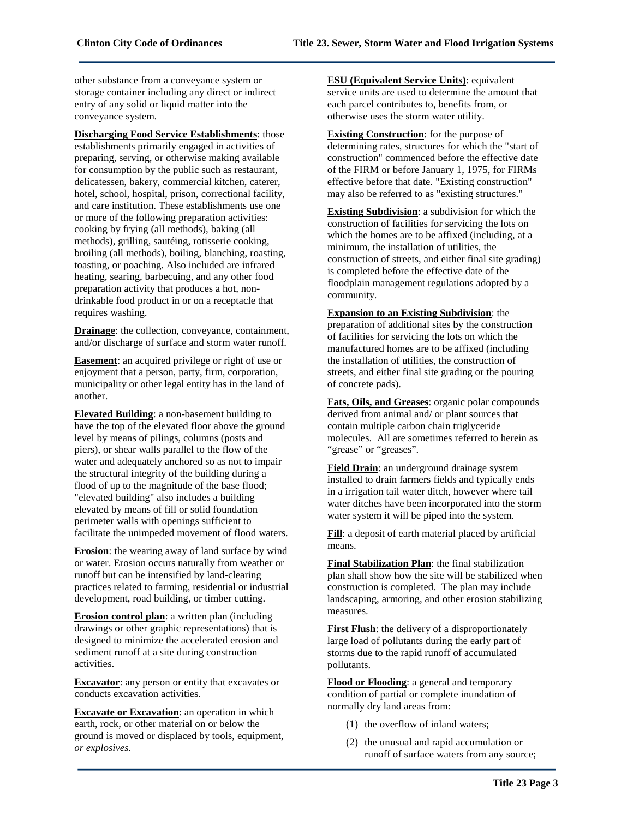other substance from a conveyance system or storage container including any direct or indirect entry of any solid or liquid matter into the conveyance system.

**Discharging Food Service Establishments**: those establishments primarily engaged in activities of preparing, serving, or otherwise making available for consumption by the public such as restaurant, delicatessen, bakery, commercial kitchen, caterer, hotel, school, hospital, prison, correctional facility, and care institution. These establishments use one or more of the following preparation activities: cooking by frying (all methods), baking (all methods), grilling, sautéing, rotisserie cooking, broiling (all methods), boiling, blanching, roasting, toasting, or poaching. Also included are infrared heating, searing, barbecuing, and any other food preparation activity that produces a hot, nondrinkable food product in or on a receptacle that requires washing.

**Drainage**: the collection, conveyance, containment, and/or discharge of surface and storm water runoff.

**Easement**: an acquired privilege or right of use or enjoyment that a person, party, firm, corporation, municipality or other legal entity has in the land of another.

**Elevated Building**: a non-basement building to have the top of the elevated floor above the ground level by means of pilings, columns (posts and piers), or shear walls parallel to the flow of the water and adequately anchored so as not to impair the structural integrity of the building during a flood of up to the magnitude of the base flood; "elevated building" also includes a building elevated by means of fill or solid foundation perimeter walls with openings sufficient to facilitate the unimpeded movement of flood waters.

**Erosion**: the wearing away of land surface by wind or water. Erosion occurs naturally from weather or runoff but can be intensified by land-clearing practices related to farming, residential or industrial development, road building, or timber cutting.

**Erosion control plan**: a written plan (including drawings or other graphic representations) that is designed to minimize the accelerated erosion and sediment runoff at a site during construction activities.

**Excavator**: any person or entity that excavates or conducts excavation activities.

**Excavate or Excavation**: an operation in which earth, rock, or other material on or below the ground is moved or displaced by tools, equipment, *or explosives.*

**ESU (Equivalent Service Units)**: equivalent service units are used to determine the amount that each parcel contributes to, benefits from, or otherwise uses the storm water utility.

**Existing Construction**: for the purpose of determining rates, structures for which the "start of construction" commenced before the effective date of the FIRM or before January 1, 1975, for FIRMs effective before that date. "Existing construction" may also be referred to as "existing structures."

**Existing Subdivision**: a subdivision for which the construction of facilities for servicing the lots on which the homes are to be affixed (including, at a minimum, the installation of utilities, the construction of streets, and either final site grading) is completed before the effective date of the floodplain management regulations adopted by a community.

**Expansion to an Existing Subdivision**: the preparation of additional sites by the construction of facilities for servicing the lots on which the manufactured homes are to be affixed (including the installation of utilities, the construction of streets, and either final site grading or the pouring of concrete pads).

**Fats, Oils, and Greases**: organic polar compounds derived from animal and/ or plant sources that contain multiple carbon chain triglyceride molecules. All are sometimes referred to herein as "grease" or "greases".

**Field Drain**: an underground drainage system installed to drain farmers fields and typically ends in a irrigation tail water ditch, however where tail water ditches have been incorporated into the storm water system it will be piped into the system.

**Fill**: a deposit of earth material placed by artificial means.

**Final Stabilization Plan**: the final stabilization plan shall show how the site will be stabilized when construction is completed. The plan may include landscaping, armoring, and other erosion stabilizing measures.

**First Flush:** the delivery of a disproportionately large load of pollutants during the early part of storms due to the rapid runoff of accumulated pollutants.

**Flood or Flooding**: a general and temporary condition of partial or complete inundation of normally dry land areas from:

- (1) the overflow of inland waters;
- (2) the unusual and rapid accumulation or runoff of surface waters from any source;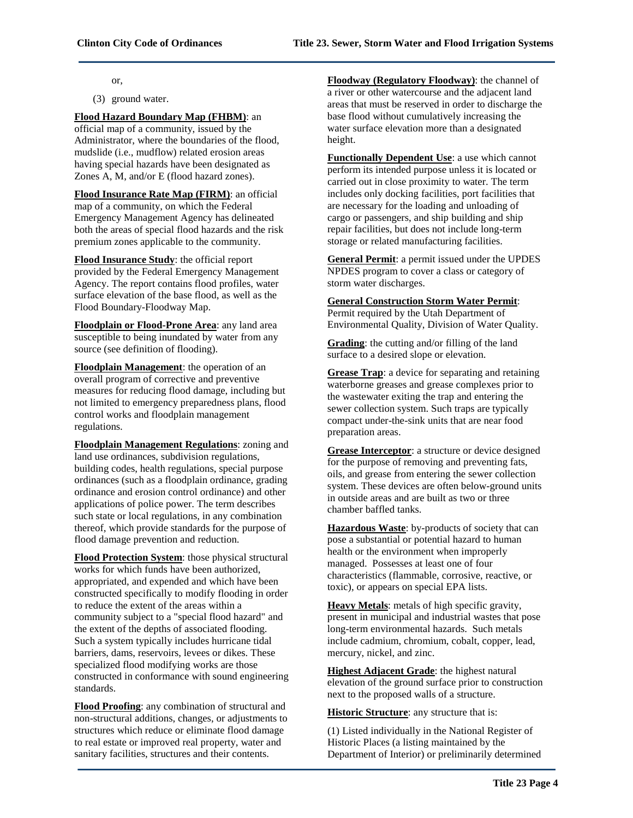or,

(3) ground water.

#### **Flood Hazard Boundary Map (FHBM)**: an

official map of a community, issued by the Administrator, where the boundaries of the flood, mudslide (i.e., mudflow) related erosion areas having special hazards have been designated as Zones A, M, and/or E (flood hazard zones).

**Flood Insurance Rate Map (FIRM)**: an official map of a community, on which the Federal Emergency Management Agency has delineated both the areas of special flood hazards and the risk premium zones applicable to the community.

**Flood Insurance Study**: the official report provided by the Federal Emergency Management Agency. The report contains flood profiles, water surface elevation of the base flood, as well as the Flood Boundary-Floodway Map.

**Floodplain or Flood-Prone Area**: any land area susceptible to being inundated by water from any source (see definition of flooding).

**Floodplain Management**: the operation of an overall program of corrective and preventive measures for reducing flood damage, including but not limited to emergency preparedness plans, flood control works and floodplain management regulations.

**Floodplain Management Regulations**: zoning and land use ordinances, subdivision regulations, building codes, health regulations, special purpose ordinances (such as a floodplain ordinance, grading ordinance and erosion control ordinance) and other applications of police power. The term describes such state or local regulations, in any combination thereof, which provide standards for the purpose of flood damage prevention and reduction.

**Flood Protection System**: those physical structural works for which funds have been authorized, appropriated, and expended and which have been constructed specifically to modify flooding in order to reduce the extent of the areas within a community subject to a "special flood hazard" and the extent of the depths of associated flooding. Such a system typically includes hurricane tidal barriers, dams, reservoirs, levees or dikes. These specialized flood modifying works are those constructed in conformance with sound engineering standards.

**Flood Proofing**: any combination of structural and non-structural additions, changes, or adjustments to structures which reduce or eliminate flood damage to real estate or improved real property, water and sanitary facilities, structures and their contents.

**Floodway (Regulatory Floodway)**: the channel of a river or other watercourse and the adjacent land areas that must be reserved in order to discharge the base flood without cumulatively increasing the water surface elevation more than a designated height.

**Functionally Dependent Use**: a use which cannot perform its intended purpose unless it is located or carried out in close proximity to water. The term includes only docking facilities, port facilities that are necessary for the loading and unloading of cargo or passengers, and ship building and ship repair facilities, but does not include long-term storage or related manufacturing facilities.

**General Permit**: a permit issued under the UPDES NPDES program to cover a class or category of storm water discharges.

#### **General Construction Storm Water Permit**:

Permit required by the Utah Department of Environmental Quality, Division of Water Quality.

**Grading**: the cutting and/or filling of the land surface to a desired slope or elevation.

**Grease Trap**: a device for separating and retaining waterborne greases and grease complexes prior to the wastewater exiting the trap and entering the sewer collection system. Such traps are typically compact under-the-sink units that are near food preparation areas.

**Grease Interceptor**: a structure or device designed for the purpose of removing and preventing fats, oils, and grease from entering the sewer collection system. These devices are often below-ground units in outside areas and are built as two or three chamber baffled tanks.

**Hazardous Waste**: by-products of society that can pose a substantial or potential hazard to human health or the environment when improperly managed. Possesses at least one of four characteristics (flammable, corrosive, reactive, or toxic), or appears on special EPA lists.

**Heavy Metals**: metals of high specific gravity, present in municipal and industrial wastes that pose long-term environmental hazards. Such metals include cadmium, chromium, cobalt, copper, lead, mercury, nickel, and zinc.

**Highest Adjacent Grade**: the highest natural elevation of the ground surface prior to construction next to the proposed walls of a structure.

**Historic Structure**: any structure that is:

(1) Listed individually in the National Register of Historic Places (a listing maintained by the Department of Interior) or preliminarily determined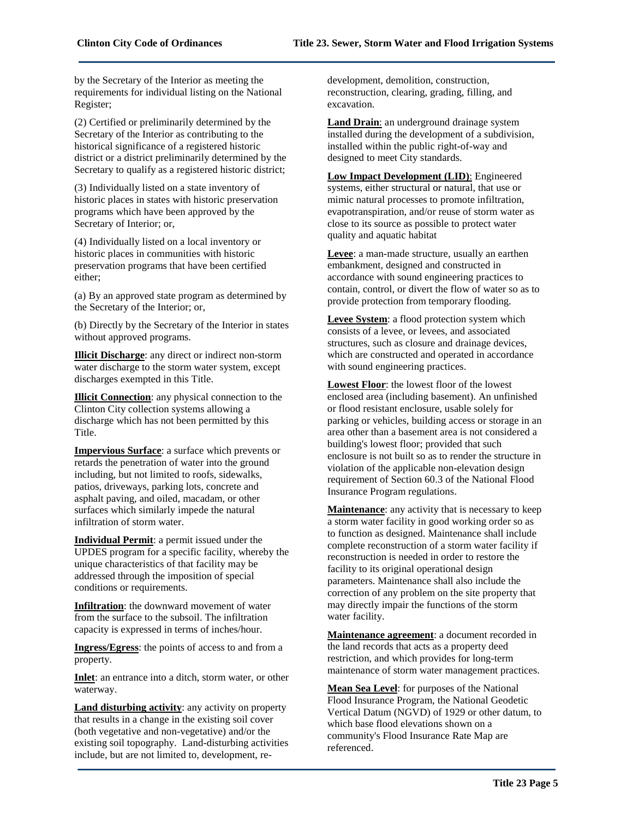by the Secretary of the Interior as meeting the requirements for individual listing on the National Register;

(2) Certified or preliminarily determined by the Secretary of the Interior as contributing to the historical significance of a registered historic district or a district preliminarily determined by the Secretary to qualify as a registered historic district;

(3) Individually listed on a state inventory of historic places in states with historic preservation programs which have been approved by the Secretary of Interior; or,

(4) Individually listed on a local inventory or historic places in communities with historic preservation programs that have been certified either;

(a) By an approved state program as determined by the Secretary of the Interior; or,

(b) Directly by the Secretary of the Interior in states without approved programs.

**Illicit Discharge**: any direct or indirect non-storm water discharge to the storm water system, except discharges exempted in this Title.

**Illicit Connection**: any physical connection to the Clinton City collection systems allowing a discharge which has not been permitted by this Title.

**Impervious Surface**: a surface which prevents or retards the penetration of water into the ground including, but not limited to roofs, sidewalks, patios, driveways, parking lots, concrete and asphalt paving, and oiled, macadam, or other surfaces which similarly impede the natural infiltration of storm water.

**Individual Permit**: a permit issued under the UPDES program for a specific facility, whereby the unique characteristics of that facility may be addressed through the imposition of special conditions or requirements.

**Infiltration**: the downward movement of water from the surface to the subsoil. The infiltration capacity is expressed in terms of inches/hour.

**Ingress/Egress**: the points of access to and from a property.

**Inlet**: an entrance into a ditch, storm water, or other waterway.

**Land disturbing activity**: any activity on property that results in a change in the existing soil cover (both vegetative and non-vegetative) and/or the existing soil topography. Land-disturbing activities include, but are not limited to, development, redevelopment, demolition, construction, reconstruction, clearing, grading, filling, and excavation.

**Land Drain**: an underground drainage system installed during the development of a subdivision, installed within the public right-of-way and designed to meet City standards.

**Low Impact Development (LID)**: Engineered systems, either structural or natural, that use or mimic natural processes to promote infiltration, evapotranspiration, and/or reuse of storm water as close to its source as possible to protect water quality and aquatic habitat

**Levee**: a man-made structure, usually an earthen embankment, designed and constructed in accordance with sound engineering practices to contain, control, or divert the flow of water so as to provide protection from temporary flooding.

**Levee System**: a flood protection system which consists of a levee, or levees, and associated structures, such as closure and drainage devices, which are constructed and operated in accordance with sound engineering practices.

**Lowest Floor**: the lowest floor of the lowest enclosed area (including basement). An unfinished or flood resistant enclosure, usable solely for parking or vehicles, building access or storage in an area other than a basement area is not considered a building's lowest floor; provided that such enclosure is not built so as to render the structure in violation of the applicable non-elevation design requirement of Section 60.3 of the National Flood Insurance Program regulations.

**Maintenance**: any activity that is necessary to keep a storm water facility in good working order so as to function as designed. Maintenance shall include complete reconstruction of a storm water facility if reconstruction is needed in order to restore the facility to its original operational design parameters. Maintenance shall also include the correction of any problem on the site property that may directly impair the functions of the storm water facility.

**Maintenance agreement**: a document recorded in the land records that acts as a property deed restriction, and which provides for long-term maintenance of storm water management practices.

**Mean Sea Level**: for purposes of the National Flood Insurance Program, the National Geodetic Vertical Datum (NGVD) of 1929 or other datum, to which base flood elevations shown on a community's Flood Insurance Rate Map are referenced.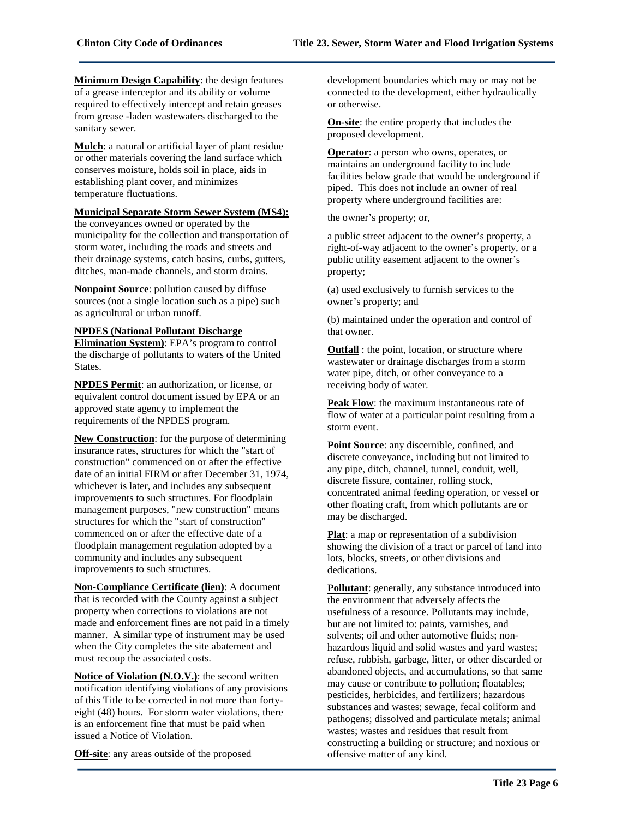**Minimum Design Capability**: the design features of a grease interceptor and its ability or volume required to effectively intercept and retain greases from grease -laden wastewaters discharged to the sanitary sewer.

**Mulch**: a natural or artificial layer of plant residue or other materials covering the land surface which conserves moisture, holds soil in place, aids in establishing plant cover, and minimizes temperature fluctuations.

# **Municipal Separate Storm Sewer System (MS4):**

the conveyances owned or operated by the municipality for the collection and transportation of storm water, including the roads and streets and their drainage systems, catch basins, curbs, gutters, ditches, man-made channels, and storm drains.

**Nonpoint Source**: pollution caused by diffuse sources (not a single location such as a pipe) such as agricultural or urban runoff.

**NPDES (National Pollutant Discharge Elimination System)**: EPA's program to control the discharge of pollutants to waters of the United

States.

**NPDES Permit**: an authorization, or license, or equivalent control document issued by EPA or an approved state agency to implement the requirements of the NPDES program.

**New Construction**: for the purpose of determining insurance rates, structures for which the "start of construction" commenced on or after the effective date of an initial FIRM or after December 31, 1974, whichever is later, and includes any subsequent improvements to such structures. For floodplain management purposes, "new construction" means structures for which the "start of construction" commenced on or after the effective date of a floodplain management regulation adopted by a community and includes any subsequent improvements to such structures.

**Non-Compliance Certificate (lien)**: A document that is recorded with the County against a subject property when corrections to violations are not made and enforcement fines are not paid in a timely manner. A similar type of instrument may be used when the City completes the site abatement and must recoup the associated costs.

**Notice of Violation (N.O.V.)**: the second written notification identifying violations of any provisions of this Title to be corrected in not more than fortyeight (48) hours. For storm water violations, there is an enforcement fine that must be paid when issued a Notice of Violation.

**Off-site**: any areas outside of the proposed

development boundaries which may or may not be connected to the development, either hydraulically or otherwise.

**On-site**: the entire property that includes the proposed development.

**Operator**: a person who owns, operates, or maintains an underground facility to include facilities below grade that would be underground if piped. This does not include an owner of real property where underground facilities are:

the owner's property; or,

a public street adjacent to the owner's property, a right-of-way adjacent to the owner's property, or a public utility easement adjacent to the owner's property;

(a) used exclusively to furnish services to the owner's property; and

(b) maintained under the operation and control of that owner.

**Outfall** : the point, location, or structure where wastewater or drainage discharges from a storm water pipe, ditch, or other conveyance to a receiving body of water.

**Peak Flow**: the maximum instantaneous rate of flow of water at a particular point resulting from a storm event.

**Point Source**: any discernible, confined, and discrete conveyance, including but not limited to any pipe, ditch, channel, tunnel, conduit, well, discrete fissure, container, rolling stock, concentrated animal feeding operation, or vessel or other floating craft, from which pollutants are or may be discharged.

**Plat**: a map or representation of a subdivision showing the division of a tract or parcel of land into lots, blocks, streets, or other divisions and dedications.

**Pollutant**: generally, any substance introduced into the environment that adversely affects the usefulness of a resource. Pollutants may include, but are not limited to: paints, varnishes, and solvents; oil and other automotive fluids; nonhazardous liquid and solid wastes and yard wastes; refuse, rubbish, garbage, litter, or other discarded or abandoned objects, and accumulations, so that same may cause or contribute to pollution; floatables; pesticides, herbicides, and fertilizers; hazardous substances and wastes; sewage, fecal coliform and pathogens; dissolved and particulate metals; animal wastes; wastes and residues that result from constructing a building or structure; and noxious or offensive matter of any kind.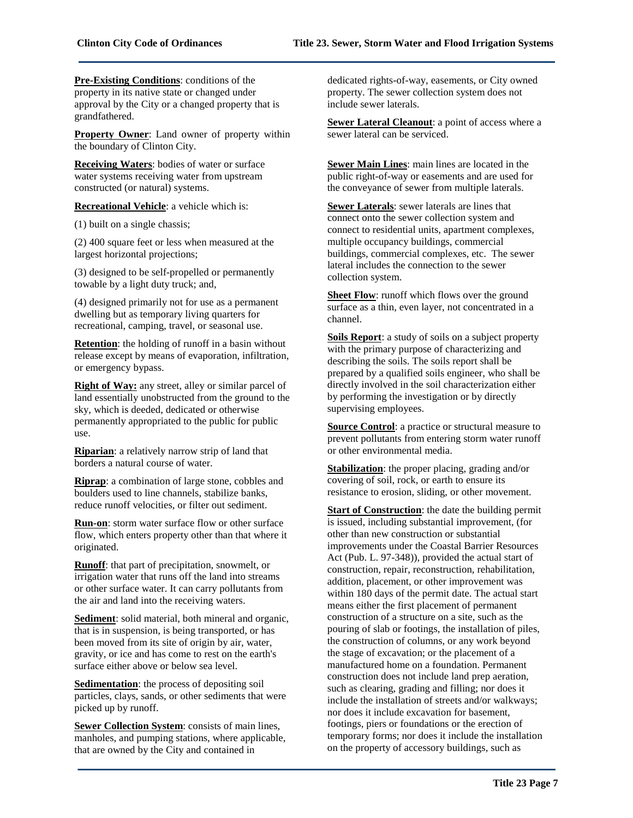**Pre-Existing Conditions**: conditions of the property in its native state or changed under approval by the City or a changed property that is grandfathered.

**Property Owner**: Land owner of property within the boundary of Clinton City.

**Receiving Waters**: bodies of water or surface water systems receiving water from upstream constructed (or natural) systems.

**Recreational Vehicle**: a vehicle which is:

(1) built on a single chassis;

(2) 400 square feet or less when measured at the largest horizontal projections;

(3) designed to be self-propelled or permanently towable by a light duty truck; and,

(4) designed primarily not for use as a permanent dwelling but as temporary living quarters for recreational, camping, travel, or seasonal use.

**Retention**: the holding of runoff in a basin without release except by means of evaporation, infiltration, or emergency bypass.

**Right of Way:** any street, alley or similar parcel of land essentially unobstructed from the ground to the sky, which is deeded, dedicated or otherwise permanently appropriated to the public for public use.

**Riparian**: a relatively narrow strip of land that borders a natural course of water.

**Riprap**: a combination of large stone, cobbles and boulders used to line channels, stabilize banks, reduce runoff velocities, or filter out sediment.

**Run-on**: storm water surface flow or other surface flow, which enters property other than that where it originated.

**Runoff**: that part of precipitation, snowmelt, or irrigation water that runs off the land into streams or other surface water. It can carry pollutants from the air and land into the receiving waters.

**Sediment**: solid material, both mineral and organic, that is in suspension, is being transported, or has been moved from its site of origin by air, water, gravity, or ice and has come to rest on the earth's surface either above or below sea level.

**Sedimentation**: the process of depositing soil particles, clays, sands, or other sediments that were picked up by runoff.

**Sewer Collection System**: consists of main lines, manholes, and pumping stations, where applicable, that are owned by the City and contained in

dedicated rights-of-way, easements, or City owned property. The sewer collection system does not include sewer laterals.

**Sewer Lateral Cleanout**: a point of access where a sewer lateral can be serviced.

**Sewer Main Lines**: main lines are located in the public right-of-way or easements and are used for the conveyance of sewer from multiple laterals.

**Sewer Laterals**: sewer laterals are lines that connect onto the sewer collection system and connect to residential units, apartment complexes, multiple occupancy buildings, commercial buildings, commercial complexes, etc. The sewer lateral includes the connection to the sewer collection system.

**Sheet Flow**: runoff which flows over the ground surface as a thin, even layer, not concentrated in a channel.

**Soils Report**: a study of soils on a subject property with the primary purpose of characterizing and describing the soils. The soils report shall be prepared by a qualified soils engineer, who shall be directly involved in the soil characterization either by performing the investigation or by directly supervising employees.

**Source Control**: a practice or structural measure to prevent pollutants from entering storm water runoff or other environmental media.

**Stabilization**: the proper placing, grading and/or covering of soil, rock, or earth to ensure its resistance to erosion, sliding, or other movement.

**Start of Construction**: the date the building permit is issued, including substantial improvement, (for other than new construction or substantial improvements under the Coastal Barrier Resources Act (Pub. L. 97-348)), provided the actual start of construction, repair, reconstruction, rehabilitation, addition, placement, or other improvement was within 180 days of the permit date. The actual start means either the first placement of permanent construction of a structure on a site, such as the pouring of slab or footings, the installation of piles, the construction of columns, or any work beyond the stage of excavation; or the placement of a manufactured home on a foundation. Permanent construction does not include land prep aeration, such as clearing, grading and filling; nor does it include the installation of streets and/or walkways; nor does it include excavation for basement, footings, piers or foundations or the erection of temporary forms; nor does it include the installation on the property of accessory buildings, such as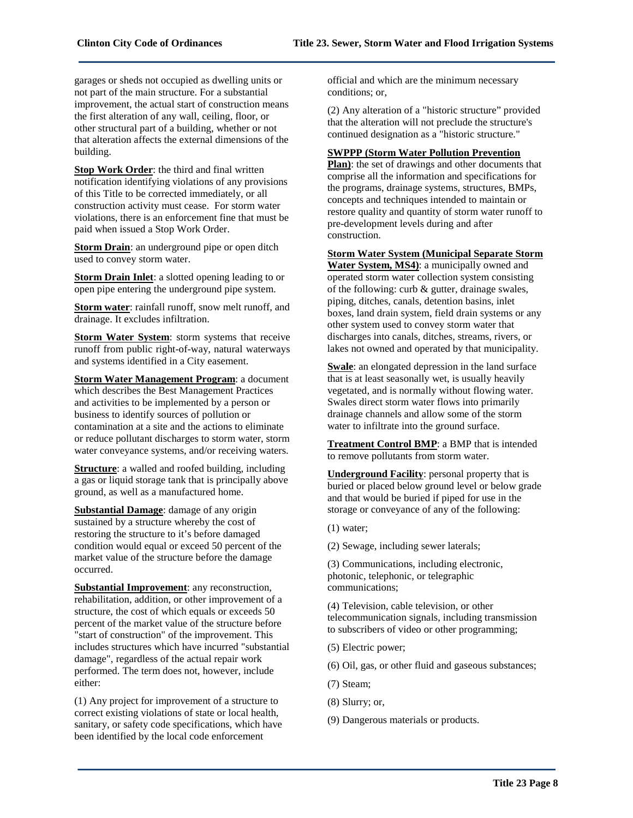garages or sheds not occupied as dwelling units or not part of the main structure. For a substantial improvement, the actual start of construction means the first alteration of any wall, ceiling, floor, or other structural part of a building, whether or not that alteration affects the external dimensions of the building.

**Stop Work Order**: the third and final written notification identifying violations of any provisions of this Title to be corrected immediately, or all construction activity must cease. For storm water violations, there is an enforcement fine that must be paid when issued a Stop Work Order.

**Storm Drain**: an underground pipe or open ditch used to convey storm water.

**Storm Drain Inlet**: a slotted opening leading to or open pipe entering the underground pipe system.

**Storm water**: rainfall runoff, snow melt runoff, and drainage. It excludes infiltration.

**Storm Water System**: storm systems that receive runoff from public right-of-way, natural waterways and systems identified in a City easement.

**Storm Water Management Program**: a document which describes the Best Management Practices and activities to be implemented by a person or business to identify sources of pollution or contamination at a site and the actions to eliminate or reduce pollutant discharges to storm water, storm water conveyance systems, and/or receiving waters.

**Structure**: a walled and roofed building, including a gas or liquid storage tank that is principally above ground, as well as a manufactured home.

**Substantial Damage**: damage of any origin sustained by a structure whereby the cost of restoring the structure to it's before damaged condition would equal or exceed 50 percent of the market value of the structure before the damage occurred.

**Substantial Improvement**: any reconstruction, rehabilitation, addition, or other improvement of a structure, the cost of which equals or exceeds 50 percent of the market value of the structure before "start of construction" of the improvement. This includes structures which have incurred "substantial damage", regardless of the actual repair work performed. The term does not, however, include either:

(1) Any project for improvement of a structure to correct existing violations of state or local health, sanitary, or safety code specifications, which have been identified by the local code enforcement

official and which are the minimum necessary conditions; or,

(2) Any alteration of a "historic structure" provided that the alteration will not preclude the structure's continued designation as a "historic structure."

#### **SWPPP (Storm Water Pollution Prevention**

**Plan)**: the set of drawings and other documents that comprise all the information and specifications for the programs, drainage systems, structures, BMPs, concepts and techniques intended to maintain or restore quality and quantity of storm water runoff to pre-development levels during and after construction.

**Storm Water System (Municipal Separate Storm** 

**Water System, MS4)**: a municipally owned and operated storm water collection system consisting of the following: curb & gutter, drainage swales, piping, ditches, canals, detention basins, inlet boxes, land drain system, field drain systems or any other system used to convey storm water that discharges into canals, ditches, streams, rivers, or lakes not owned and operated by that municipality.

**Swale**: an elongated depression in the land surface that is at least seasonally wet, is usually heavily vegetated, and is normally without flowing water. Swales direct storm water flows into primarily drainage channels and allow some of the storm water to infiltrate into the ground surface.

**Treatment Control BMP**: a BMP that is intended to remove pollutants from storm water.

**Underground Facility**: personal property that is buried or placed below ground level or below grade and that would be buried if piped for use in the storage or conveyance of any of the following:

(1) water;

(2) Sewage, including sewer laterals;

(3) Communications, including electronic, photonic, telephonic, or telegraphic communications;

(4) Television, cable television, or other telecommunication signals, including transmission to subscribers of video or other programming;

(5) Electric power;

(6) Oil, gas, or other fluid and gaseous substances;

(7) Steam;

(8) Slurry; or,

(9) Dangerous materials or products.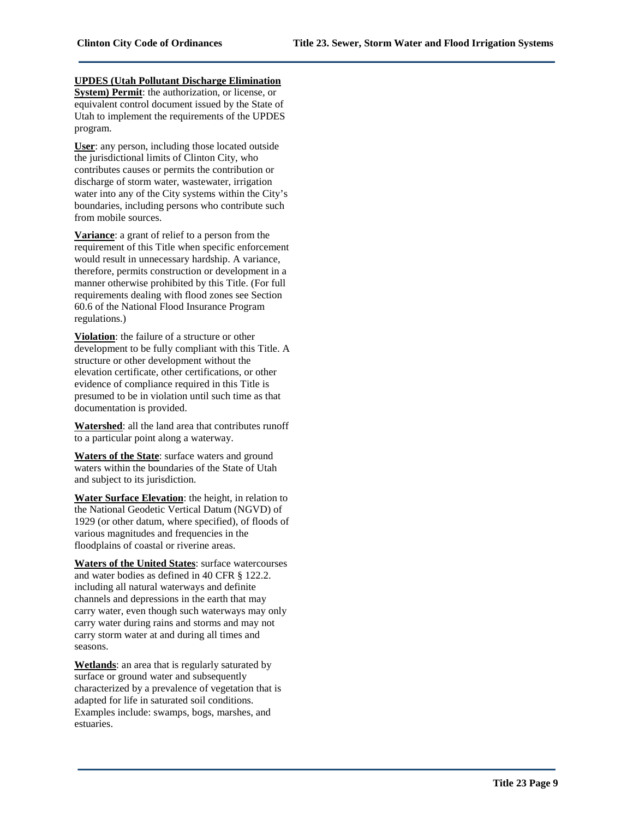# **UPDES (Utah Pollutant Discharge Elimination**

**System) Permit**: the authorization, or license, or equivalent control document issued by the State of Utah to implement the requirements of the UPDES program.

**User**: any person, including those located outside the jurisdictional limits of Clinton City, who contributes causes or permits the contribution or discharge of storm water, wastewater, irrigation water into any of the City systems within the City's boundaries, including persons who contribute such from mobile sources.

**Variance**: a grant of relief to a person from the requirement of this Title when specific enforcement would result in unnecessary hardship. A variance, therefore, permits construction or development in a manner otherwise prohibited by this Title. (For full requirements dealing with flood zones see Section 60.6 of the National Flood Insurance Program regulations.)

**Violation**: the failure of a structure or other development to be fully compliant with this Title. A structure or other development without the elevation certificate, other certifications, or other evidence of compliance required in this Title is presumed to be in violation until such time as that documentation is provided.

**Watershed**: all the land area that contributes runoff to a particular point along a waterway.

**Waters of the State**: surface waters and ground waters within the boundaries of the State of Utah and subject to its jurisdiction.

**Water Surface Elevation**: the height, in relation to the National Geodetic Vertical Datum (NGVD) of 1929 (or other datum, where specified), of floods of various magnitudes and frequencies in the floodplains of coastal or riverine areas.

**Waters of the United States**: surface watercourses and water bodies as defined in 40 CFR § 122.2. including all natural waterways and definite channels and depressions in the earth that may carry water, even though such waterways may only carry water during rains and storms and may not carry storm water at and during all times and seasons.

**Wetlands**: an area that is regularly saturated by surface or ground water and subsequently characterized by a prevalence of vegetation that is adapted for life in saturated soil conditions. Examples include: swamps, bogs, marshes, and estuaries.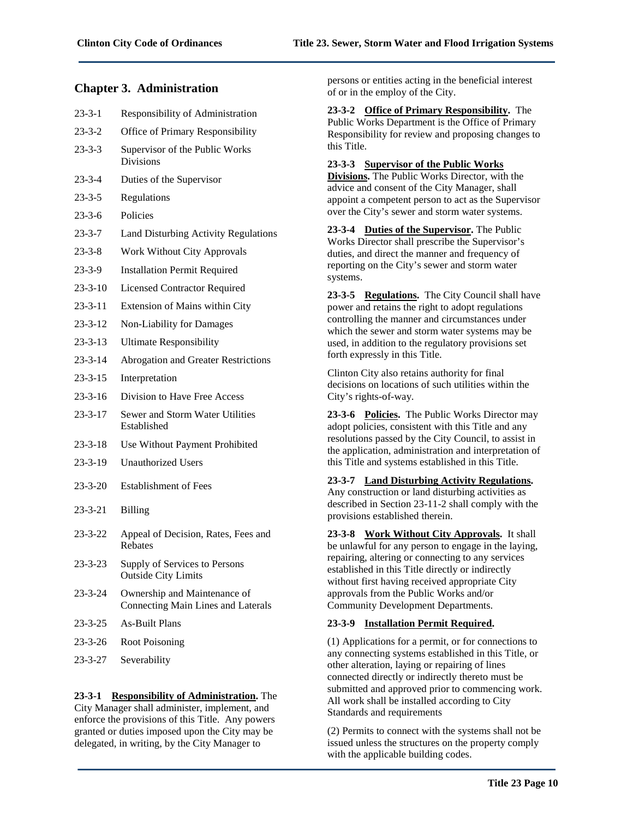# **Chapter 3. Administration**

| $23 - 3 - 1$  | Responsibility of Administration                                          |
|---------------|---------------------------------------------------------------------------|
| $23 - 3 - 2$  | Office of Primary Responsibility                                          |
| $23 - 3 - 3$  | Supervisor of the Public Works<br><b>Divisions</b>                        |
| $23 - 3 - 4$  | Duties of the Supervisor                                                  |
| $23 - 3 - 5$  | Regulations                                                               |
| $23 - 3 - 6$  | Policies                                                                  |
| $23 - 3 - 7$  | Land Disturbing Activity Regulations                                      |
| $23 - 3 - 8$  | <b>Work Without City Approvals</b>                                        |
| $23 - 3 - 9$  | <b>Installation Permit Required</b>                                       |
| $23 - 3 - 10$ | <b>Licensed Contractor Required</b>                                       |
| $23 - 3 - 11$ | Extension of Mains within City                                            |
| $23 - 3 - 12$ | Non-Liability for Damages                                                 |
| $23 - 3 - 13$ | <b>Ultimate Responsibility</b>                                            |
| $23 - 3 - 14$ | <b>Abrogation and Greater Restrictions</b>                                |
| $23 - 3 - 15$ | Interpretation                                                            |
| $23 - 3 - 16$ | Division to Have Free Access                                              |
| $23 - 3 - 17$ | Sewer and Storm Water Utilities<br>Established                            |
| $23 - 3 - 18$ | Use Without Payment Prohibited                                            |
| $23 - 3 - 19$ | <b>Unauthorized Users</b>                                                 |
| $23 - 3 - 20$ | <b>Establishment of Fees</b>                                              |
| $23 - 3 - 21$ | <b>Billing</b>                                                            |
| $23 - 3 - 22$ | Appeal of Decision, Rates, Fees and<br>Rebates                            |
| $23 - 3 - 23$ | Supply of Services to Persons<br><b>Outside City Limits</b>               |
| $23 - 3 - 24$ | Ownership and Maintenance of<br><b>Connecting Main Lines and Laterals</b> |
| $23 - 3 - 25$ | <b>As-Built Plans</b>                                                     |
| $23 - 3 - 26$ | Root Poisoning                                                            |
| $23 - 3 - 27$ | Severability                                                              |
|               |                                                                           |

# **23-3-1 Responsibility of Administration.** The

City Manager shall administer, implement, and enforce the provisions of this Title. Any powers granted or duties imposed upon the City may be delegated, in writing, by the City Manager to

persons or entities acting in the beneficial interest of or in the employ of the City.

**23-3-2 Office of Primary Responsibility.** The Public Works Department is the Office of Primary Responsibility for review and proposing changes to this Title.

# **23-3-3 Supervisor of the Public Works**

**Divisions.** The Public Works Director, with the advice and consent of the City Manager, shall appoint a competent person to act as the Supervisor over the City's sewer and storm water systems.

#### **23-3-4 Duties of the Supervisor.** The Public Works Director shall prescribe the Supervisor's duties, and direct the manner and frequency of reporting on the City's sewer and storm water systems.

**23-3-5 Regulations.** The City Council shall have power and retains the right to adopt regulations controlling the manner and circumstances under which the sewer and storm water systems may be used, in addition to the regulatory provisions set forth expressly in this Title.

Clinton City also retains authority for final decisions on locations of such utilities within the City's rights-of-way.

**23-3-6 Policies.** The Public Works Director may adopt policies, consistent with this Title and any resolutions passed by the City Council, to assist in the application, administration and interpretation of this Title and systems established in this Title.

**23-3-7 Land Disturbing Activity Regulations.** Any construction or land disturbing activities as described in Section 23-11-2 shall comply with the provisions established therein.

**23-3-8 Work Without City Approvals.** It shall be unlawful for any person to engage in the laying, repairing, altering or connecting to any services established in this Title directly or indirectly without first having received appropriate City approvals from the Public Works and/or Community Development Departments.

# **23-3-9 Installation Permit Required.**

(1) Applications for a permit, or for connections to any connecting systems established in this Title, or other alteration, laying or repairing of lines connected directly or indirectly thereto must be submitted and approved prior to commencing work. All work shall be installed according to City Standards and requirements

(2) Permits to connect with the systems shall not be issued unless the structures on the property comply with the applicable building codes.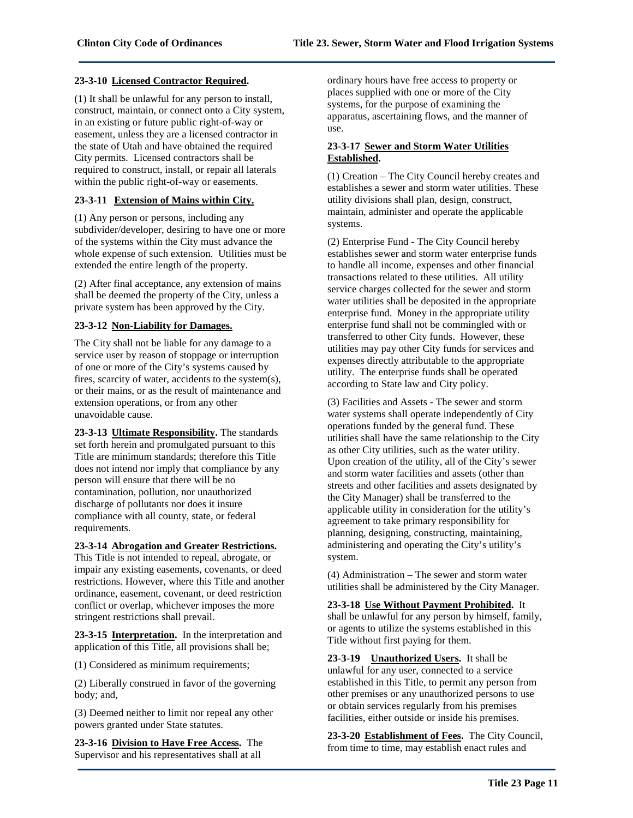#### **23-3-10 Licensed Contractor Required.**

(1) It shall be unlawful for any person to install, construct, maintain, or connect onto a City system, in an existing or future public right-of-way or easement, unless they are a licensed contractor in the state of Utah and have obtained the required City permits. Licensed contractors shall be required to construct, install, or repair all laterals within the public right-of-way or easements.

#### **23-3-11 Extension of Mains within City.**

(1) Any person or persons, including any subdivider/developer, desiring to have one or more of the systems within the City must advance the whole expense of such extension. Utilities must be extended the entire length of the property.

(2) After final acceptance, any extension of mains shall be deemed the property of the City, unless a private system has been approved by the City.

# **23-3-12 Non-Liability for Damages.**

The City shall not be liable for any damage to a service user by reason of stoppage or interruption of one or more of the City's systems caused by fires, scarcity of water, accidents to the system(s), or their mains, or as the result of maintenance and extension operations, or from any other unavoidable cause.

**23-3-13 Ultimate Responsibility.** The standards set forth herein and promulgated pursuant to this Title are minimum standards; therefore this Title does not intend nor imply that compliance by any person will ensure that there will be no contamination, pollution, nor unauthorized discharge of pollutants nor does it insure compliance with all county, state, or federal requirements.

**23-3-14 Abrogation and Greater Restrictions.** This Title is not intended to repeal, abrogate, or impair any existing easements, covenants, or deed restrictions. However, where this Title and another ordinance, easement, covenant, or deed restriction conflict or overlap, whichever imposes the more stringent restrictions shall prevail.

**23-3-15 Interpretation.** In the interpretation and application of this Title, all provisions shall be;

(1) Considered as minimum requirements;

(2) Liberally construed in favor of the governing body; and,

(3) Deemed neither to limit nor repeal any other powers granted under State statutes.

**23-3-16 Division to Have Free Access.** The Supervisor and his representatives shall at all

ordinary hours have free access to property or places supplied with one or more of the City systems, for the purpose of examining the apparatus, ascertaining flows, and the manner of use.

# **23-3-17 Sewer and Storm Water Utilities Established.**

(1) Creation – The City Council hereby creates and establishes a sewer and storm water utilities. These utility divisions shall plan, design, construct, maintain, administer and operate the applicable systems.

(2) Enterprise Fund - The City Council hereby establishes sewer and storm water enterprise funds to handle all income, expenses and other financial transactions related to these utilities. All utility service charges collected for the sewer and storm water utilities shall be deposited in the appropriate enterprise fund. Money in the appropriate utility enterprise fund shall not be commingled with or transferred to other City funds. However, these utilities may pay other City funds for services and expenses directly attributable to the appropriate utility. The enterprise funds shall be operated according to State law and City policy.

(3) Facilities and Assets - The sewer and storm water systems shall operate independently of City operations funded by the general fund. These utilities shall have the same relationship to the City as other City utilities, such as the water utility. Upon creation of the utility, all of the City's sewer and storm water facilities and assets (other than streets and other facilities and assets designated by the City Manager) shall be transferred to the applicable utility in consideration for the utility's agreement to take primary responsibility for planning, designing, constructing, maintaining, administering and operating the City's utility's system.

(4) Administration – The sewer and storm water utilities shall be administered by the City Manager.

**23-3-18 Use Without Payment Prohibited.** It shall be unlawful for any person by himself, family, or agents to utilize the systems established in this Title without first paying for them.

**23-3-19 Unauthorized Users.** It shall be unlawful for any user, connected to a service established in this Title, to permit any person from other premises or any unauthorized persons to use or obtain services regularly from his premises facilities, either outside or inside his premises.

**23-3-20 Establishment of Fees.** The City Council, from time to time, may establish enact rules and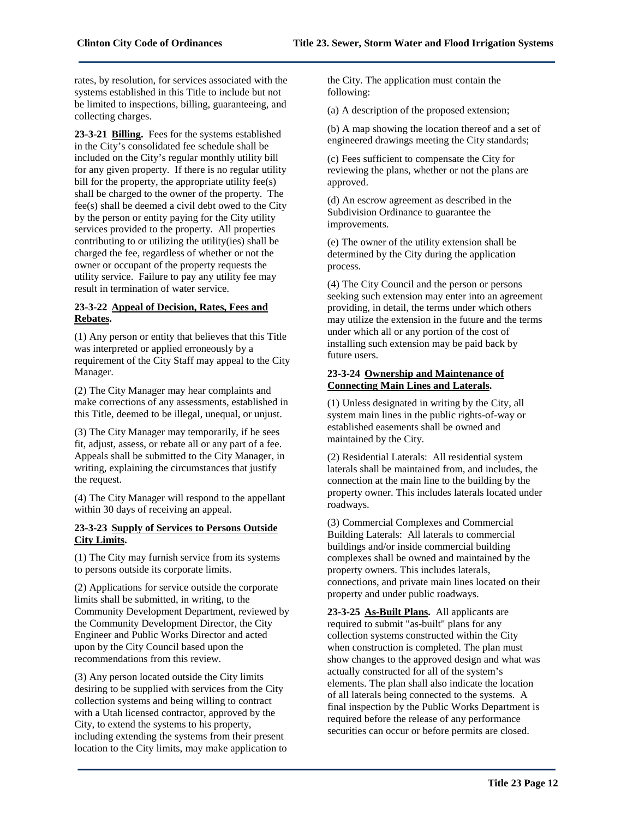rates, by resolution, for services associated with the systems established in this Title to include but not be limited to inspections, billing, guaranteeing, and collecting charges.

**23-3-21 Billing.** Fees for the systems established in the City's consolidated fee schedule shall be included on the City's regular monthly utility bill for any given property. If there is no regular utility bill for the property, the appropriate utility fee(s) shall be charged to the owner of the property. The fee(s) shall be deemed a civil debt owed to the City by the person or entity paying for the City utility services provided to the property. All properties contributing to or utilizing the utility(ies) shall be charged the fee, regardless of whether or not the owner or occupant of the property requests the utility service. Failure to pay any utility fee may result in termination of water service.

# **23-3-22 Appeal of Decision, Rates, Fees and Rebates.**

(1) Any person or entity that believes that this Title was interpreted or applied erroneously by a requirement of the City Staff may appeal to the City Manager.

(2) The City Manager may hear complaints and make corrections of any assessments, established in this Title, deemed to be illegal, unequal, or unjust.

(3) The City Manager may temporarily, if he sees fit, adjust, assess, or rebate all or any part of a fee. Appeals shall be submitted to the City Manager, in writing, explaining the circumstances that justify the request.

(4) The City Manager will respond to the appellant within 30 days of receiving an appeal.

# **23-3-23 Supply of Services to Persons Outside City Limits.**

(1) The City may furnish service from its systems to persons outside its corporate limits.

(2) Applications for service outside the corporate limits shall be submitted, in writing, to the Community Development Department, reviewed by the Community Development Director, the City Engineer and Public Works Director and acted upon by the City Council based upon the recommendations from this review.

(3) Any person located outside the City limits desiring to be supplied with services from the City collection systems and being willing to contract with a Utah licensed contractor, approved by the City, to extend the systems to his property, including extending the systems from their present location to the City limits, may make application to the City. The application must contain the following:

(a) A description of the proposed extension;

(b) A map showing the location thereof and a set of engineered drawings meeting the City standards;

(c) Fees sufficient to compensate the City for reviewing the plans, whether or not the plans are approved.

(d) An escrow agreement as described in the Subdivision Ordinance to guarantee the improvements.

(e) The owner of the utility extension shall be determined by the City during the application process.

(4) The City Council and the person or persons seeking such extension may enter into an agreement providing, in detail, the terms under which others may utilize the extension in the future and the terms under which all or any portion of the cost of installing such extension may be paid back by future users.

#### **23-3-24 Ownership and Maintenance of Connecting Main Lines and Laterals.**

(1) Unless designated in writing by the City, all system main lines in the public rights-of-way or established easements shall be owned and maintained by the City.

(2) Residential Laterals: All residential system laterals shall be maintained from, and includes, the connection at the main line to the building by the property owner. This includes laterals located under roadways.

(3) Commercial Complexes and Commercial Building Laterals: All laterals to commercial buildings and/or inside commercial building complexes shall be owned and maintained by the property owners. This includes laterals, connections, and private main lines located on their property and under public roadways.

**23-3-25 As-Built Plans.** All applicants are required to submit "as-built" plans for any collection systems constructed within the City when construction is completed. The plan must show changes to the approved design and what was actually constructed for all of the system's elements. The plan shall also indicate the location of all laterals being connected to the systems. A final inspection by the Public Works Department is required before the release of any performance securities can occur or before permits are closed.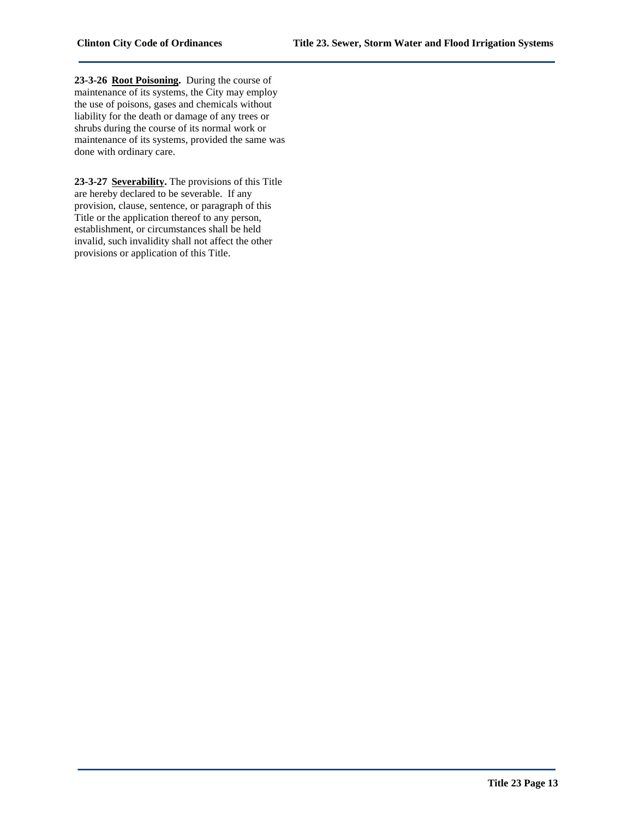**23-3-26 Root Poisoning.** During the course of maintenance of its systems, the City may employ the use of poisons, gases and chemicals without liability for the death or damage of any trees or shrubs during the course of its normal work or maintenance of its systems, provided the same was done with ordinary care.

**23-3-27 Severability.** The provisions of this Title are hereby declared to be severable. If any provision, clause, sentence, or paragraph of this Title or the application thereof to any person, establishment, or circumstances shall be held invalid, such invalidity shall not affect the other provisions or application of this Title.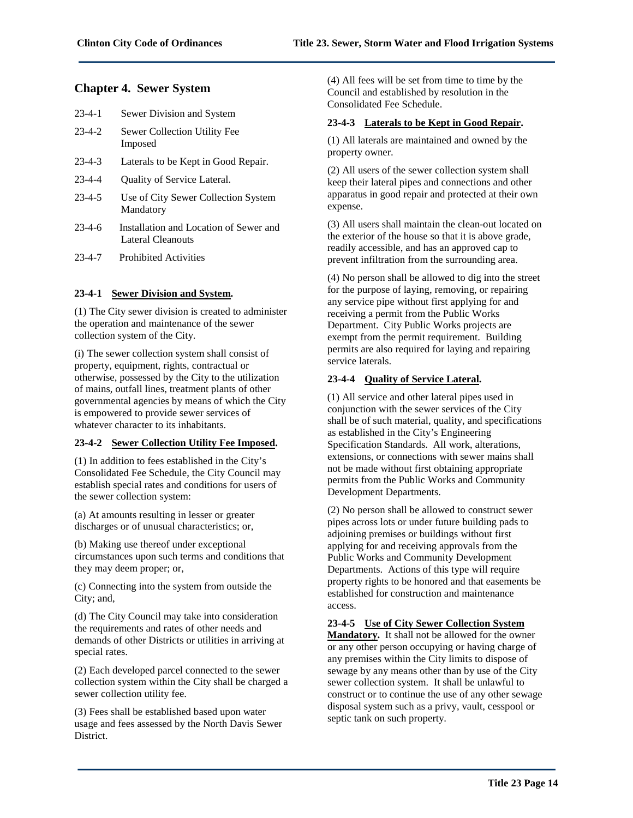# **Chapter 4. Sewer System**

| $23 - 4 - 1$ | Sewer Division and System               |
|--------------|-----------------------------------------|
| $23 - 4 - 2$ | Sewer Collection Utility Fee<br>Imposed |

- 23-4-3 Laterals to be Kept in Good Repair.
- 23-4-4 Quality of Service Lateral.
- 23-4-5 Use of City Sewer Collection System Mandatory
- 23-4-6 Installation and Location of Sewer and Lateral Cleanouts
- 23-4-7 Prohibited Activities

#### **23-4-1 Sewer Division and System.**

(1) The City sewer division is created to administer the operation and maintenance of the sewer collection system of the City.

(i) The sewer collection system shall consist of property, equipment, rights, contractual or otherwise, possessed by the City to the utilization of mains, outfall lines, treatment plants of other governmental agencies by means of which the City is empowered to provide sewer services of whatever character to its inhabitants.

# **23-4-2 Sewer Collection Utility Fee Imposed.**

(1) In addition to fees established in the City's Consolidated Fee Schedule, the City Council may establish special rates and conditions for users of the sewer collection system:

(a) At amounts resulting in lesser or greater discharges or of unusual characteristics; or,

(b) Making use thereof under exceptional circumstances upon such terms and conditions that they may deem proper; or,

(c) Connecting into the system from outside the City; and,

(d) The City Council may take into consideration the requirements and rates of other needs and demands of other Districts or utilities in arriving at special rates.

(2) Each developed parcel connected to the sewer collection system within the City shall be charged a sewer collection utility fee.

(3) Fees shall be established based upon water usage and fees assessed by the North Davis Sewer District.

(4) All fees will be set from time to time by the Council and established by resolution in the Consolidated Fee Schedule.

#### **23-4-3 Laterals to be Kept in Good Repair.**

(1) All laterals are maintained and owned by the property owner.

(2) All users of the sewer collection system shall keep their lateral pipes and connections and other apparatus in good repair and protected at their own expense.

(3) All users shall maintain the clean-out located on the exterior of the house so that it is above grade, readily accessible, and has an approved cap to prevent infiltration from the surrounding area.

(4) No person shall be allowed to dig into the street for the purpose of laying, removing, or repairing any service pipe without first applying for and receiving a permit from the Public Works Department. City Public Works projects are exempt from the permit requirement. Building permits are also required for laying and repairing service laterals.

#### **23-4-4 Quality of Service Lateral.**

(1) All service and other lateral pipes used in conjunction with the sewer services of the City shall be of such material, quality, and specifications as established in the City's Engineering Specification Standards. All work, alterations, extensions, or connections with sewer mains shall not be made without first obtaining appropriate permits from the Public Works and Community Development Departments.

(2) No person shall be allowed to construct sewer pipes across lots or under future building pads to adjoining premises or buildings without first applying for and receiving approvals from the Public Works and Community Development Departments. Actions of this type will require property rights to be honored and that easements be established for construction and maintenance access.

#### **23-4-5 Use of City Sewer Collection System**

**Mandatory.** It shall not be allowed for the owner or any other person occupying or having charge of any premises within the City limits to dispose of sewage by any means other than by use of the City sewer collection system. It shall be unlawful to construct or to continue the use of any other sewage disposal system such as a privy, vault, cesspool or septic tank on such property.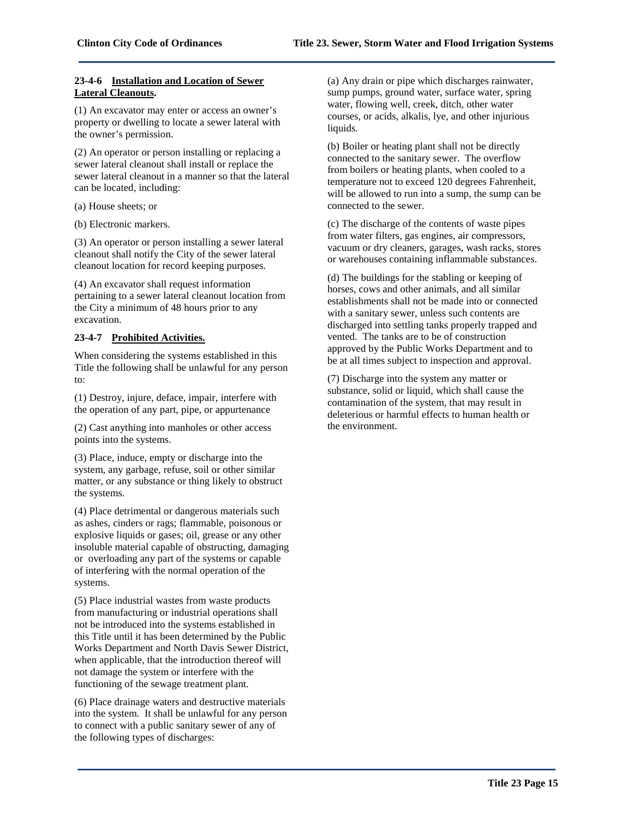#### **23-4-6 Installation and Location of Sewer Lateral Cleanouts.**

(1) An excavator may enter or access an owner's property or dwelling to locate a sewer lateral with the owner's permission.

(2) An operator or person installing or replacing a sewer lateral cleanout shall install or replace the sewer lateral cleanout in a manner so that the lateral can be located, including:

(a) House sheets; or

(b) Electronic markers.

(3) An operator or person installing a sewer lateral cleanout shall notify the City of the sewer lateral cleanout location for record keeping purposes.

(4) An excavator shall request information pertaining to a sewer lateral cleanout location from the City a minimum of 48 hours prior to any excavation.

# **23-4-7 Prohibited Activities.**

When considering the systems established in this Title the following shall be unlawful for any person to:

(1) Destroy, injure, deface, impair, interfere with the operation of any part, pipe, or appurtenance

(2) Cast anything into manholes or other access points into the systems.

(3) Place, induce, empty or discharge into the system, any garbage, refuse, soil or other similar matter, or any substance or thing likely to obstruct the systems.

(4) Place detrimental or dangerous materials such as ashes, cinders or rags; flammable, poisonous or explosive liquids or gases; oil, grease or any other insoluble material capable of obstructing, damaging or overloading any part of the systems or capable of interfering with the normal operation of the systems.

(5) Place industrial wastes from waste products from manufacturing or industrial operations shall not be introduced into the systems established in this Title until it has been determined by the Public Works Department and North Davis Sewer District, when applicable, that the introduction thereof will not damage the system or interfere with the functioning of the sewage treatment plant.

(6) Place drainage waters and destructive materials into the system. It shall be unlawful for any person to connect with a public sanitary sewer of any of the following types of discharges:

(a) Any drain or pipe which discharges rainwater, sump pumps, ground water, surface water, spring water, flowing well, creek, ditch, other water courses, or acids, alkalis, lye, and other injurious liquids.

(b) Boiler or heating plant shall not be directly connected to the sanitary sewer. The overflow from boilers or heating plants, when cooled to a temperature not to exceed 120 degrees Fahrenheit, will be allowed to run into a sump, the sump can be connected to the sewer.

(c) The discharge of the contents of waste pipes from water filters, gas engines, air compressors, vacuum or dry cleaners, garages, wash racks, stores or warehouses containing inflammable substances.

(d) The buildings for the stabling or keeping of horses, cows and other animals, and all similar establishments shall not be made into or connected with a sanitary sewer, unless such contents are discharged into settling tanks properly trapped and vented. The tanks are to be of construction approved by the Public Works Department and to be at all times subject to inspection and approval.

(7) Discharge into the system any matter or substance, solid or liquid, which shall cause the contamination of the system, that may result in deleterious or harmful effects to human health or the environment.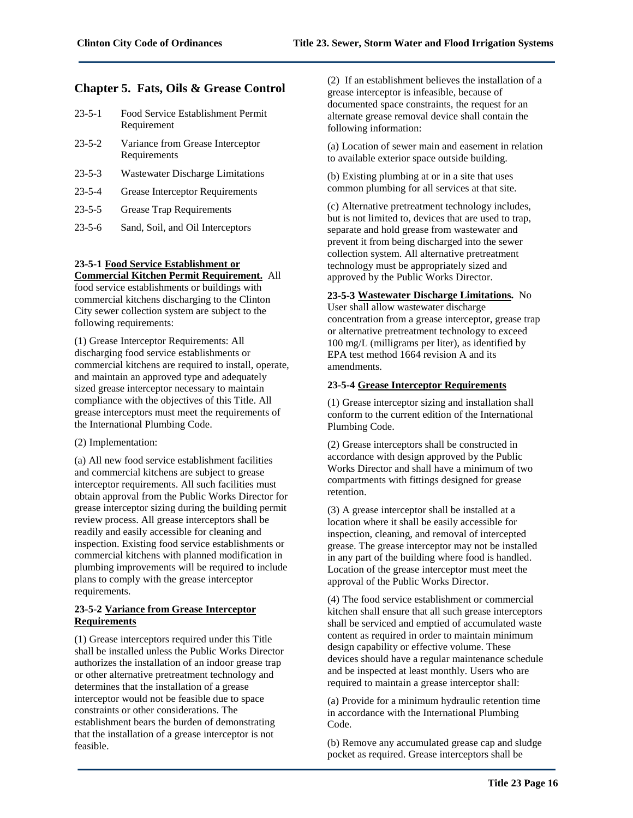# **Chapter 5. Fats, Oils & Grease Control**

- 23-5-1 Food Service Establishment Permit Requirement
- 23-5-2 Variance from Grease Interceptor **Requirements**
- 23-5-3 Wastewater Discharge Limitations
- 23-5-4 Grease Interceptor Requirements
- 23-5-5 Grease Trap Requirements
- 23-5-6 Sand, Soil, and Oil Interceptors

# **23-5-1 Food Service Establishment or**

**Commercial Kitchen Permit Requirement.** All food service establishments or buildings with commercial kitchens discharging to the Clinton City sewer collection system are subject to the following requirements:

(1) Grease Interceptor Requirements: All discharging food service establishments or commercial kitchens are required to install, operate, and maintain an approved type and adequately sized grease interceptor necessary to maintain compliance with the objectives of this Title. All grease interceptors must meet the requirements of the International Plumbing Code.

(2) Implementation:

(a) All new food service establishment facilities and commercial kitchens are subject to grease interceptor requirements. All such facilities must obtain approval from the Public Works Director for grease interceptor sizing during the building permit review process. All grease interceptors shall be readily and easily accessible for cleaning and inspection. Existing food service establishments or commercial kitchens with planned modification in plumbing improvements will be required to include plans to comply with the grease interceptor requirements.

#### **23-5-2 Variance from Grease Interceptor Requirements**

(1) Grease interceptors required under this Title shall be installed unless the Public Works Director authorizes the installation of an indoor grease trap or other alternative pretreatment technology and determines that the installation of a grease interceptor would not be feasible due to space constraints or other considerations. The establishment bears the burden of demonstrating that the installation of a grease interceptor is not feasible.

(2) If an establishment believes the installation of a grease interceptor is infeasible, because of documented space constraints, the request for an alternate grease removal device shall contain the following information:

(a) Location of sewer main and easement in relation to available exterior space outside building.

(b) Existing plumbing at or in a site that uses common plumbing for all services at that site.

(c) Alternative pretreatment technology includes, but is not limited to, devices that are used to trap, separate and hold grease from wastewater and prevent it from being discharged into the sewer collection system. All alternative pretreatment technology must be appropriately sized and approved by the Public Works Director.

# **23-5-3 Wastewater Discharge Limitations.** No

User shall allow wastewater discharge concentration from a grease interceptor, grease trap or alternative pretreatment technology to exceed 100 mg/L (milligrams per liter), as identified by EPA test method 1664 revision A and its amendments.

#### **23-5-4 Grease Interceptor Requirements**

(1) Grease interceptor sizing and installation shall conform to the current edition of the International Plumbing Code.

(2) Grease interceptors shall be constructed in accordance with design approved by the Public Works Director and shall have a minimum of two compartments with fittings designed for grease retention.

(3) A grease interceptor shall be installed at a location where it shall be easily accessible for inspection, cleaning, and removal of intercepted grease. The grease interceptor may not be installed in any part of the building where food is handled. Location of the grease interceptor must meet the approval of the Public Works Director.

(4) The food service establishment or commercial kitchen shall ensure that all such grease interceptors shall be serviced and emptied of accumulated waste content as required in order to maintain minimum design capability or effective volume. These devices should have a regular maintenance schedule and be inspected at least monthly. Users who are required to maintain a grease interceptor shall:

(a) Provide for a minimum hydraulic retention time in accordance with the International Plumbing Code.

(b) Remove any accumulated grease cap and sludge pocket as required. Grease interceptors shall be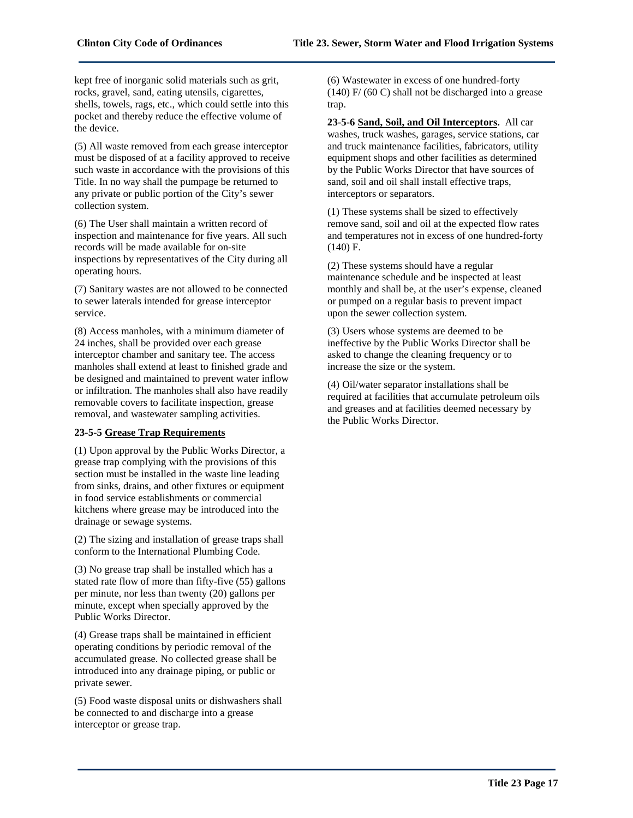kept free of inorganic solid materials such as grit, rocks, gravel, sand, eating utensils, cigarettes, shells, towels, rags, etc., which could settle into this pocket and thereby reduce the effective volume of the device.

(5) All waste removed from each grease interceptor must be disposed of at a facility approved to receive such waste in accordance with the provisions of this Title. In no way shall the pumpage be returned to any private or public portion of the City's sewer collection system.

(6) The User shall maintain a written record of inspection and maintenance for five years. All such records will be made available for on-site inspections by representatives of the City during all operating hours.

(7) Sanitary wastes are not allowed to be connected to sewer laterals intended for grease interceptor service.

(8) Access manholes, with a minimum diameter of 24 inches, shall be provided over each grease interceptor chamber and sanitary tee. The access manholes shall extend at least to finished grade and be designed and maintained to prevent water inflow or infiltration. The manholes shall also have readily removable covers to facilitate inspection, grease removal, and wastewater sampling activities.

# **23-5-5 Grease Trap Requirements**

(1) Upon approval by the Public Works Director, a grease trap complying with the provisions of this section must be installed in the waste line leading from sinks, drains, and other fixtures or equipment in food service establishments or commercial kitchens where grease may be introduced into the drainage or sewage systems.

(2) The sizing and installation of grease traps shall conform to the International Plumbing Code.

(3) No grease trap shall be installed which has a stated rate flow of more than fifty-five (55) gallons per minute, nor less than twenty (20) gallons per minute, except when specially approved by the Public Works Director.

(4) Grease traps shall be maintained in efficient operating conditions by periodic removal of the accumulated grease. No collected grease shall be introduced into any drainage piping, or public or private sewer.

(5) Food waste disposal units or dishwashers shall be connected to and discharge into a grease interceptor or grease trap.

(6) Wastewater in excess of one hundred-forty  $(140)$  F/  $(60)$  shall not be discharged into a grease trap.

**23-5-6 Sand, Soil, and Oil Interceptors.** All car washes, truck washes, garages, service stations, car and truck maintenance facilities, fabricators, utility equipment shops and other facilities as determined by the Public Works Director that have sources of sand, soil and oil shall install effective traps, interceptors or separators.

(1) These systems shall be sized to effectively remove sand, soil and oil at the expected flow rates and temperatures not in excess of one hundred-forty (140) F.

(2) These systems should have a regular maintenance schedule and be inspected at least monthly and shall be, at the user's expense, cleaned or pumped on a regular basis to prevent impact upon the sewer collection system.

(3) Users whose systems are deemed to be ineffective by the Public Works Director shall be asked to change the cleaning frequency or to increase the size or the system.

(4) Oil/water separator installations shall be required at facilities that accumulate petroleum oils and greases and at facilities deemed necessary by the Public Works Director.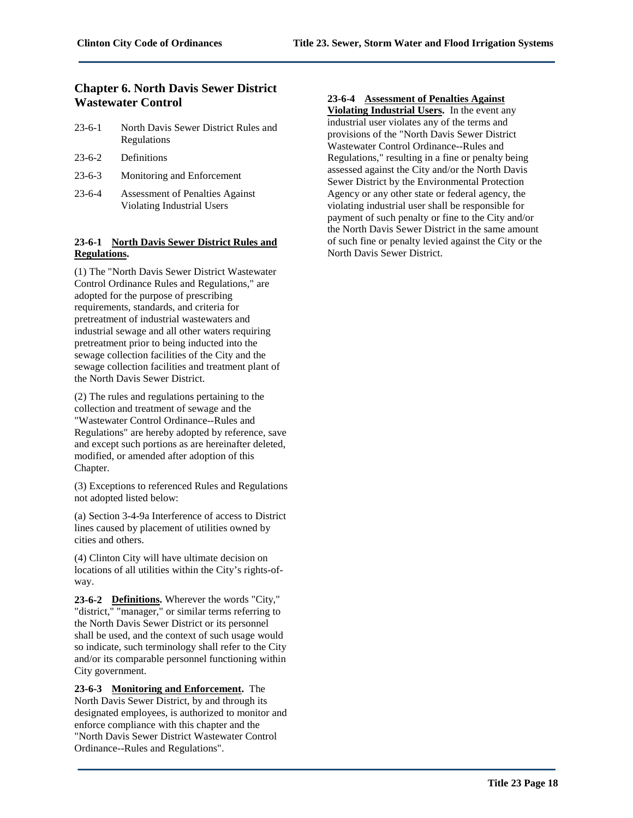# **Chapter 6. North Davis Sewer District Wastewater Control**

- 23-6-1 North Davis Sewer District Rules and Regulations
- 23-6-2 Definitions
- 23-6-3 Monitoring and Enforcement
- 23-6-4 Assessment of Penalties Against Violating Industrial Users

# **23-6-1 North Davis Sewer District Rules and Regulations.**

(1) The "North Davis Sewer District Wastewater Control Ordinance Rules and Regulations," are adopted for the purpose of prescribing requirements, standards, and criteria for pretreatment of industrial wastewaters and industrial sewage and all other waters requiring pretreatment prior to being inducted into the sewage collection facilities of the City and the sewage collection facilities and treatment plant of the North Davis Sewer District.

(2) The rules and regulations pertaining to the collection and treatment of sewage and the "Wastewater Control Ordinance--Rules and Regulations" are hereby adopted by reference, save and except such portions as are hereinafter deleted, modified, or amended after adoption of this Chapter.

(3) Exceptions to referenced Rules and Regulations not adopted listed below:

(a) Section 3-4-9a Interference of access to District lines caused by placement of utilities owned by cities and others.

(4) Clinton City will have ultimate decision on locations of all utilities within the City's rights-ofway.

**23-6-2 Definitions.** Wherever the words "City," "district," "manager," or similar terms referring to the North Davis Sewer District or its personnel shall be used, and the context of such usage would so indicate, such terminology shall refer to the City and/or its comparable personnel functioning within City government.

**23-6-3 Monitoring and Enforcement.** The North Davis Sewer District, by and through its designated employees, is authorized to monitor and enforce compliance with this chapter and the "North Davis Sewer District Wastewater Control Ordinance--Rules and Regulations".

# **23-6-4 Assessment of Penalties Against**

**Violating Industrial Users.** In the event any industrial user violates any of the terms and provisions of the "North Davis Sewer District Wastewater Control Ordinance--Rules and Regulations," resulting in a fine or penalty being assessed against the City and/or the North Davis Sewer District by the Environmental Protection Agency or any other state or federal agency, the violating industrial user shall be responsible for payment of such penalty or fine to the City and/or the North Davis Sewer District in the same amount of such fine or penalty levied against the City or the North Davis Sewer District.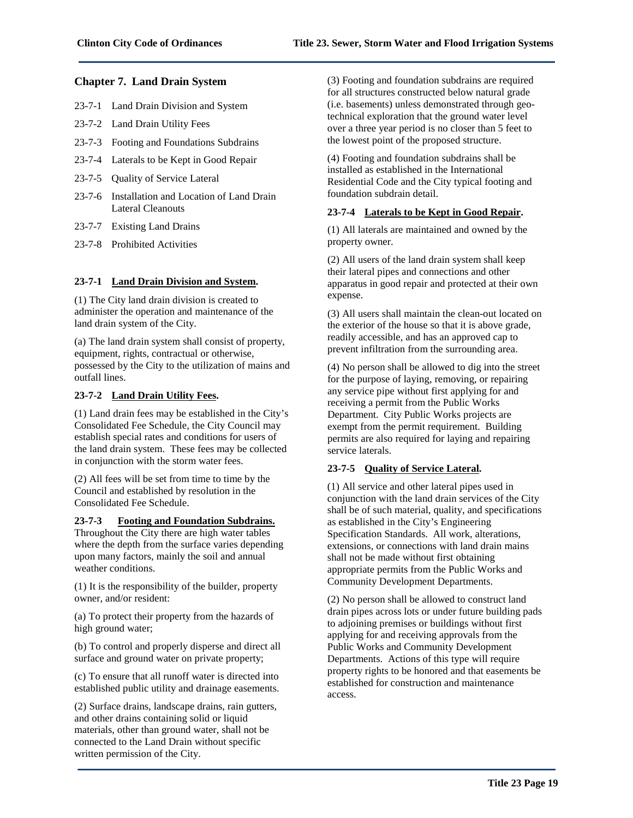# **Chapter 7. Land Drain System**

- 23-7-1 Land Drain Division and System
- 23-7-2 Land Drain Utility Fees
- 23-7-3 Footing and Foundations Subdrains
- 23-7-4 Laterals to be Kept in Good Repair
- 23-7-5 Quality of Service Lateral
- 23-7-6 Installation and Location of Land Drain Lateral Cleanouts
- 23-7-7 Existing Land Drains
- 23-7-8 Prohibited Activities

#### **23-7-1 Land Drain Division and System.**

(1) The City land drain division is created to administer the operation and maintenance of the land drain system of the City.

(a) The land drain system shall consist of property, equipment, rights, contractual or otherwise, possessed by the City to the utilization of mains and outfall lines.

#### **23-7-2 Land Drain Utility Fees.**

(1) Land drain fees may be established in the City's Consolidated Fee Schedule, the City Council may establish special rates and conditions for users of the land drain system. These fees may be collected in conjunction with the storm water fees.

(2) All fees will be set from time to time by the Council and established by resolution in the Consolidated Fee Schedule.

#### **23-7-3 Footing and Foundation Subdrains.**

Throughout the City there are high water tables where the depth from the surface varies depending upon many factors, mainly the soil and annual weather conditions.

(1) It is the responsibility of the builder, property owner, and/or resident:

(a) To protect their property from the hazards of high ground water;

(b) To control and properly disperse and direct all surface and ground water on private property;

(c) To ensure that all runoff water is directed into established public utility and drainage easements.

(2) Surface drains, landscape drains, rain gutters, and other drains containing solid or liquid materials, other than ground water, shall not be connected to the Land Drain without specific written permission of the City.

(3) Footing and foundation subdrains are required for all structures constructed below natural grade (i.e. basements) unless demonstrated through geotechnical exploration that the ground water level over a three year period is no closer than 5 feet to the lowest point of the proposed structure.

(4) Footing and foundation subdrains shall be installed as established in the International Residential Code and the City typical footing and foundation subdrain detail.

#### **23-7-4 Laterals to be Kept in Good Repair.**

(1) All laterals are maintained and owned by the property owner.

(2) All users of the land drain system shall keep their lateral pipes and connections and other apparatus in good repair and protected at their own expense.

(3) All users shall maintain the clean-out located on the exterior of the house so that it is above grade, readily accessible, and has an approved cap to prevent infiltration from the surrounding area.

(4) No person shall be allowed to dig into the street for the purpose of laying, removing, or repairing any service pipe without first applying for and receiving a permit from the Public Works Department. City Public Works projects are exempt from the permit requirement. Building permits are also required for laying and repairing service laterals.

# **23-7-5 Quality of Service Lateral.**

(1) All service and other lateral pipes used in conjunction with the land drain services of the City shall be of such material, quality, and specifications as established in the City's Engineering Specification Standards. All work, alterations, extensions, or connections with land drain mains shall not be made without first obtaining appropriate permits from the Public Works and Community Development Departments.

(2) No person shall be allowed to construct land drain pipes across lots or under future building pads to adjoining premises or buildings without first applying for and receiving approvals from the Public Works and Community Development Departments. Actions of this type will require property rights to be honored and that easements be established for construction and maintenance access.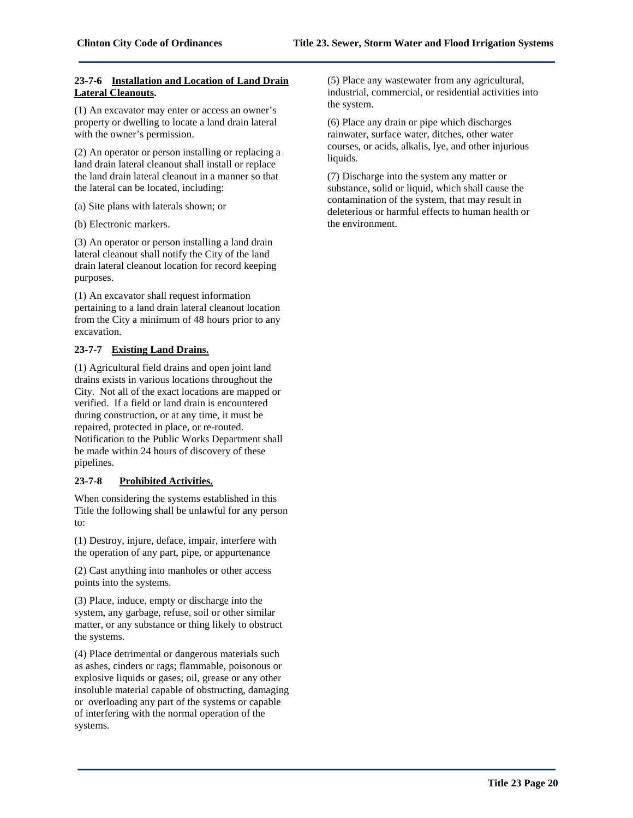#### **23-7-6 Installation and Location of Land Drain Lateral Cleanouts.**

(1) An excavator may enter or access an owner's property or dwelling to locate a land drain lateral with the owner's permission.

(2) An operator or person installing or replacing a land drain lateral cleanout shall install or replace the land drain lateral cleanout in a manner so that the lateral can be located, including:

(a) Site plans with laterals shown; or

(b) Electronic markers.

(3) An operator or person installing a land drain lateral cleanout shall notify the City of the land drain lateral cleanout location for record keeping purposes.

(1) An excavator shall request information pertaining to a land drain lateral cleanout location from the City a minimum of 48 hours prior to any excavation.

# **23-7-7 Existing Land Drains.**

(1) Agricultural field drains and open joint land drains exists in various locations throughout the City. Not all of the exact locations are mapped or verified. If a field or land drain is encountered during construction, or at any time, it must be repaired, protected in place, or re-routed. Notification to the Public Works Department shall be made within 24 hours of discovery of these pipelines.

# **23-7-8 Prohibited Activities.**

When considering the systems established in this Title the following shall be unlawful for any person to:

(1) Destroy, injure, deface, impair, interfere with the operation of any part, pipe, or appurtenance

(2) Cast anything into manholes or other access points into the systems.

(3) Place, induce, empty or discharge into the system, any garbage, refuse, soil or other similar matter, or any substance or thing likely to obstruct the systems.

(4) Place detrimental or dangerous materials such as ashes, cinders or rags; flammable, poisonous or explosive liquids or gases; oil, grease or any other insoluble material capable of obstructing, damaging or overloading any part of the systems or capable of interfering with the normal operation of the systems.

(5) Place any wastewater from any agricultural, industrial, commercial, or residential activities into the system.

(6) Place any drain or pipe which discharges rainwater, surface water, ditches, other water courses, or acids, alkalis, lye, and other injurious liquids.

(7) Discharge into the system any matter or substance, solid or liquid, which shall cause the contamination of the system, that may result in deleterious or harmful effects to human health or the environment.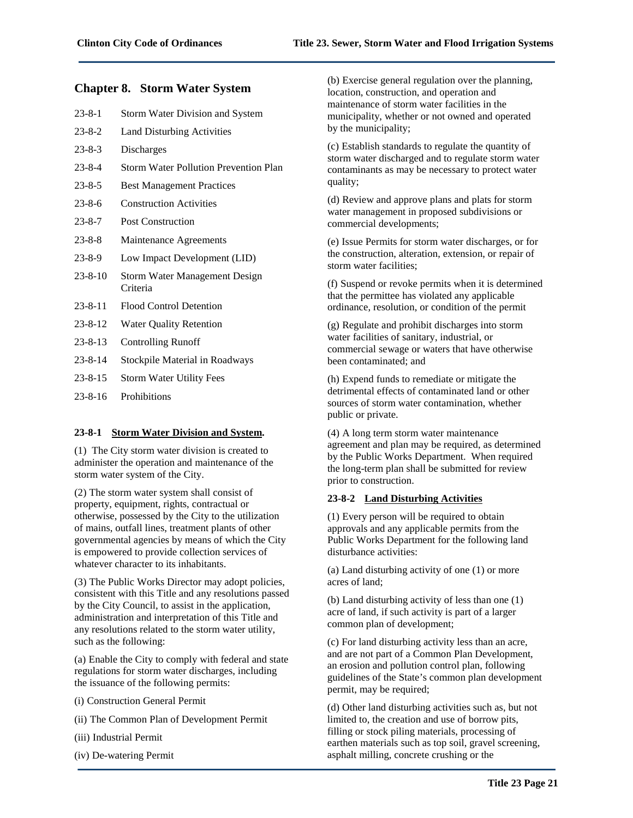# **Chapter 8. Storm Water System**

| $23 - 8 - 1$  | Storm Water Division and System                  |
|---------------|--------------------------------------------------|
| $23 - 8 - 2$  | <b>Land Disturbing Activities</b>                |
| $23 - 8 - 3$  | Discharges                                       |
| $23 - 8 - 4$  | <b>Storm Water Pollution Prevention Plan</b>     |
| $23 - 8 - 5$  | <b>Best Management Practices</b>                 |
| $23 - 8 - 6$  | <b>Construction Activities</b>                   |
| $23 - 8 - 7$  | <b>Post Construction</b>                         |
| $23 - 8 - 8$  | Maintenance Agreements                           |
| $23 - 8 - 9$  | Low Impact Development (LID)                     |
| $23 - 8 - 10$ | <b>Storm Water Management Design</b><br>Criteria |
| $23 - 8 - 11$ | <b>Flood Control Detention</b>                   |
| $23 - 8 - 12$ | <b>Water Quality Retention</b>                   |
| $23 - 8 - 13$ | <b>Controlling Runoff</b>                        |
| $23 - 8 - 14$ | Stockpile Material in Roadways                   |
| $23 - 8 - 15$ | <b>Storm Water Utility Fees</b>                  |
| $23 - 8 - 16$ | Prohibitions                                     |
|               |                                                  |

# **23-8-1 Storm Water Division and System.**

(1) The City storm water division is created to administer the operation and maintenance of the storm water system of the City.

(2) The storm water system shall consist of property, equipment, rights, contractual or otherwise, possessed by the City to the utilization of mains, outfall lines, treatment plants of other governmental agencies by means of which the City is empowered to provide collection services of whatever character to its inhabitants.

(3) The Public Works Director may adopt policies, consistent with this Title and any resolutions passed by the City Council, to assist in the application, administration and interpretation of this Title and any resolutions related to the storm water utility, such as the following:

(a) Enable the City to comply with federal and state regulations for storm water discharges, including the issuance of the following permits:

- (i) Construction General Permit
- (ii) The Common Plan of Development Permit
- (iii) Industrial Permit
- (iv) De-watering Permit

(b) Exercise general regulation over the planning, location, construction, and operation and maintenance of storm water facilities in the municipality, whether or not owned and operated by the municipality;

(c) Establish standards to regulate the quantity of storm water discharged and to regulate storm water contaminants as may be necessary to protect water quality;

(d) Review and approve plans and plats for storm water management in proposed subdivisions or commercial developments;

(e) Issue Permits for storm water discharges, or for the construction, alteration, extension, or repair of storm water facilities;

(f) Suspend or revoke permits when it is determined that the permittee has violated any applicable ordinance, resolution, or condition of the permit

(g) Regulate and prohibit discharges into storm water facilities of sanitary, industrial, or commercial sewage or waters that have otherwise been contaminated; and

(h) Expend funds to remediate or mitigate the detrimental effects of contaminated land or other sources of storm water contamination, whether public or private.

(4) A long term storm water maintenance agreement and plan may be required, as determined by the Public Works Department. When required the long-term plan shall be submitted for review prior to construction.

#### **23-8-2 Land Disturbing Activities**

(1) Every person will be required to obtain approvals and any applicable permits from the Public Works Department for the following land disturbance activities:

(a) Land disturbing activity of one (1) or more acres of land;

(b) Land disturbing activity of less than one (1) acre of land, if such activity is part of a larger common plan of development;

(c) For land disturbing activity less than an acre, and are not part of a Common Plan Development, an erosion and pollution control plan, following guidelines of the State's common plan development permit, may be required;

(d) Other land disturbing activities such as, but not limited to, the creation and use of borrow pits, filling or stock piling materials, processing of earthen materials such as top soil, gravel screening, asphalt milling, concrete crushing or the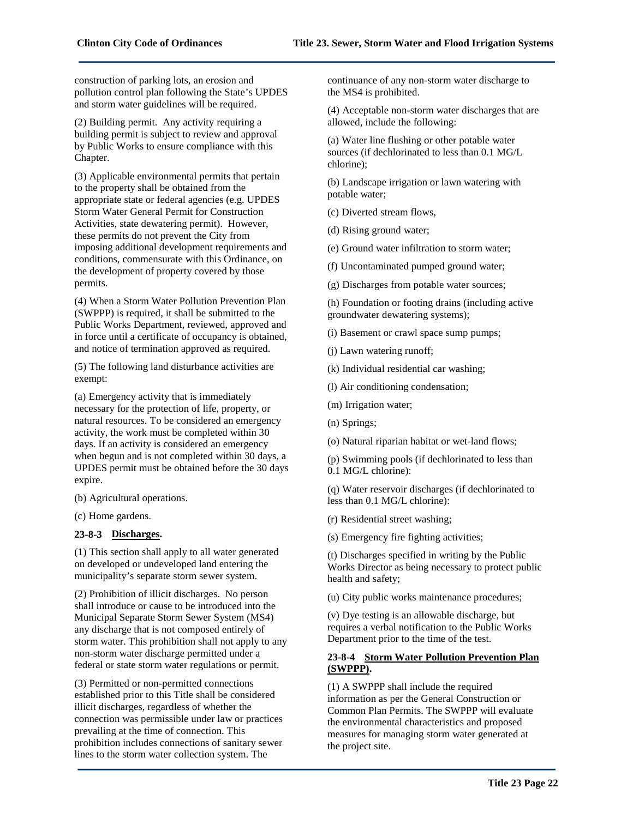construction of parking lots, an erosion and pollution control plan following the State's UPDES and storm water guidelines will be required.

(2) Building permit. Any activity requiring a building permit is subject to review and approval by Public Works to ensure compliance with this Chapter.

(3) Applicable environmental permits that pertain to the property shall be obtained from the appropriate state or federal agencies (e.g. UPDES Storm Water General Permit for Construction Activities, state dewatering permit). However, these permits do not prevent the City from imposing additional development requirements and conditions, commensurate with this Ordinance, on the development of property covered by those permits.

(4) When a Storm Water Pollution Prevention Plan (SWPPP) is required, it shall be submitted to the Public Works Department, reviewed, approved and in force until a certificate of occupancy is obtained, and notice of termination approved as required.

(5) The following land disturbance activities are exempt:

(a) Emergency activity that is immediately necessary for the protection of life, property, or natural resources. To be considered an emergency activity, the work must be completed within 30 days. If an activity is considered an emergency when begun and is not completed within 30 days, a UPDES permit must be obtained before the 30 days expire.

(b) Agricultural operations.

(c) Home gardens.

# **23-8-3 Discharges.**

(1) This section shall apply to all water generated on developed or undeveloped land entering the municipality's separate storm sewer system.

(2) Prohibition of illicit discharges. No person shall introduce or cause to be introduced into the Municipal Separate Storm Sewer System (MS4) any discharge that is not composed entirely of storm water. This prohibition shall not apply to any non-storm water discharge permitted under a federal or state storm water regulations or permit.

(3) Permitted or non-permitted connections established prior to this Title shall be considered illicit discharges, regardless of whether the connection was permissible under law or practices prevailing at the time of connection. This prohibition includes connections of sanitary sewer lines to the storm water collection system. The

continuance of any non-storm water discharge to the MS4 is prohibited.

(4) Acceptable non-storm water discharges that are allowed, include the following:

(a) Water line flushing or other potable water sources (if dechlorinated to less than 0.1 MG/L chlorine);

(b) Landscape irrigation or lawn watering with potable water;

(c) Diverted stream flows,

(d) Rising ground water;

(e) Ground water infiltration to storm water;

(f) Uncontaminated pumped ground water;

(g) Discharges from potable water sources;

(h) Foundation or footing drains (including active groundwater dewatering systems);

(i) Basement or crawl space sump pumps;

(j) Lawn watering runoff;

(k) Individual residential car washing;

(l) Air conditioning condensation;

(m) Irrigation water;

(n) Springs;

(o) Natural riparian habitat or wet-land flows;

(p) Swimming pools (if dechlorinated to less than 0.1 MG/L chlorine):

(q) Water reservoir discharges (if dechlorinated to less than 0.1 MG/L chlorine):

(r) Residential street washing;

(s) Emergency fire fighting activities;

(t) Discharges specified in writing by the Public Works Director as being necessary to protect public health and safety;

(u) City public works maintenance procedures;

(v) Dye testing is an allowable discharge, but requires a verbal notification to the Public Works Department prior to the time of the test.

# **23-8-4 Storm Water Pollution Prevention Plan (SWPPP).**

(1) A SWPPP shall include the required information as per the General Construction or Common Plan Permits. The SWPPP will evaluate the environmental characteristics and proposed measures for managing storm water generated at the project site.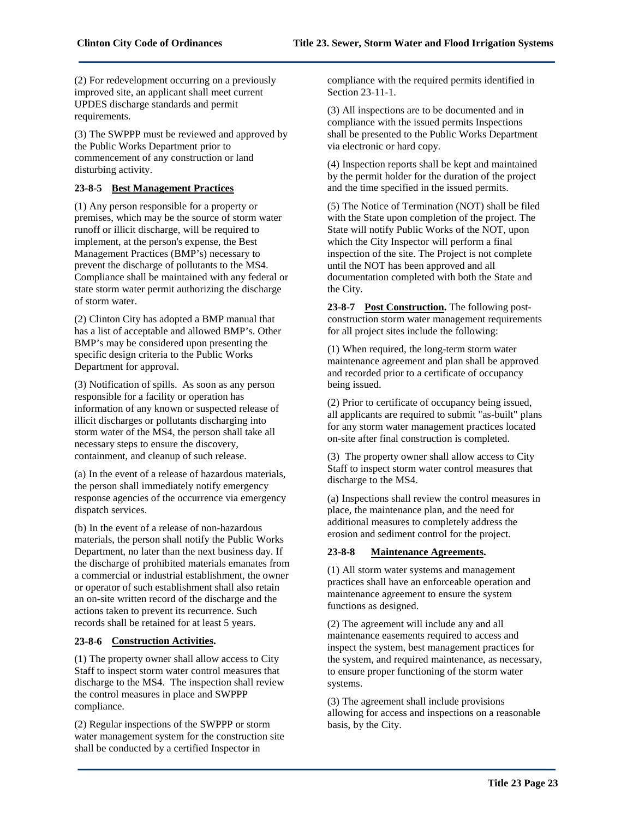(2) For redevelopment occurring on a previously improved site, an applicant shall meet current UPDES discharge standards and permit requirements.

(3) The SWPPP must be reviewed and approved by the Public Works Department prior to commencement of any construction or land disturbing activity.

# **23-8-5 Best Management Practices**

(1) Any person responsible for a property or premises, which may be the source of storm water runoff or illicit discharge, will be required to implement, at the person's expense, the Best Management Practices (BMP's) necessary to prevent the discharge of pollutants to the MS4. Compliance shall be maintained with any federal or state storm water permit authorizing the discharge of storm water.

(2) Clinton City has adopted a BMP manual that has a list of acceptable and allowed BMP's. Other BMP's may be considered upon presenting the specific design criteria to the Public Works Department for approval.

(3) Notification of spills. As soon as any person responsible for a facility or operation has information of any known or suspected release of illicit discharges or pollutants discharging into storm water of the MS4, the person shall take all necessary steps to ensure the discovery, containment, and cleanup of such release.

(a) In the event of a release of hazardous materials, the person shall immediately notify emergency response agencies of the occurrence via emergency dispatch services.

(b) In the event of a release of non-hazardous materials, the person shall notify the Public Works Department, no later than the next business day. If the discharge of prohibited materials emanates from a commercial or industrial establishment, the owner or operator of such establishment shall also retain an on-site written record of the discharge and the actions taken to prevent its recurrence. Such records shall be retained for at least 5 years.

# **23-8-6 Construction Activities.**

(1) The property owner shall allow access to City Staff to inspect storm water control measures that discharge to the MS4. The inspection shall review the control measures in place and SWPPP compliance.

(2) Regular inspections of the SWPPP or storm water management system for the construction site shall be conducted by a certified Inspector in

compliance with the required permits identified in Section 23-11-1.

(3) All inspections are to be documented and in compliance with the issued permits Inspections shall be presented to the Public Works Department via electronic or hard copy.

(4) Inspection reports shall be kept and maintained by the permit holder for the duration of the project and the time specified in the issued permits.

(5) The Notice of Termination (NOT) shall be filed with the State upon completion of the project. The State will notify Public Works of the NOT, upon which the City Inspector will perform a final inspection of the site. The Project is not complete until the NOT has been approved and all documentation completed with both the State and the City.

**23-8-7 Post Construction.** The following postconstruction storm water management requirements for all project sites include the following:

(1) When required, the long-term storm water maintenance agreement and plan shall be approved and recorded prior to a certificate of occupancy being issued.

(2) Prior to certificate of occupancy being issued, all applicants are required to submit "as-built" plans for any storm water management practices located on-site after final construction is completed.

(3) The property owner shall allow access to City Staff to inspect storm water control measures that discharge to the MS4.

(a) Inspections shall review the control measures in place, the maintenance plan, and the need for additional measures to completely address the erosion and sediment control for the project.

# **23-8-8 Maintenance Agreements.**

(1) All storm water systems and management practices shall have an enforceable operation and maintenance agreement to ensure the system functions as designed.

(2) The agreement will include any and all maintenance easements required to access and inspect the system, best management practices for the system, and required maintenance, as necessary, to ensure proper functioning of the storm water systems.

(3) The agreement shall include provisions allowing for access and inspections on a reasonable basis, by the City.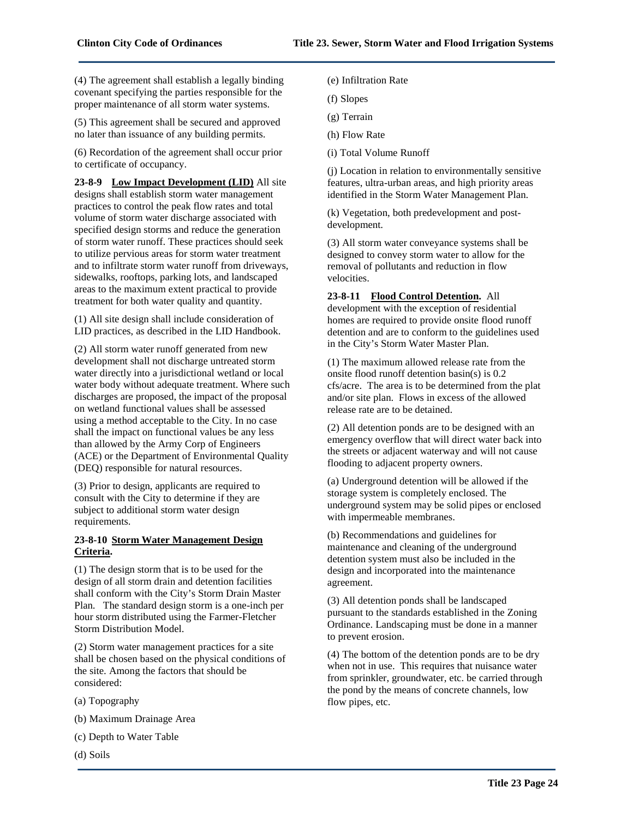(4) The agreement shall establish a legally binding covenant specifying the parties responsible for the proper maintenance of all storm water systems.

(5) This agreement shall be secured and approved no later than issuance of any building permits.

(6) Recordation of the agreement shall occur prior to certificate of occupancy.

**23-8-9 Low Impact Development (LID)** All site designs shall establish storm water management practices to control the peak flow rates and total volume of storm water discharge associated with specified design storms and reduce the generation of storm water runoff. These practices should seek to utilize pervious areas for storm water treatment and to infiltrate storm water runoff from driveways, sidewalks, rooftops, parking lots, and landscaped areas to the maximum extent practical to provide treatment for both water quality and quantity.

(1) All site design shall include consideration of LID practices, as described in the LID Handbook.

(2) All storm water runoff generated from new development shall not discharge untreated storm water directly into a jurisdictional wetland or local water body without adequate treatment. Where such discharges are proposed, the impact of the proposal on wetland functional values shall be assessed using a method acceptable to the City. In no case shall the impact on functional values be any less than allowed by the Army Corp of Engineers (ACE) or the Department of Environmental Quality (DEQ) responsible for natural resources.

(3) Prior to design, applicants are required to consult with the City to determine if they are subject to additional storm water design requirements.

# **23-8-10 Storm Water Management Design Criteria.**

(1) The design storm that is to be used for the design of all storm drain and detention facilities shall conform with the City's Storm Drain Master Plan. The standard design storm is a one-inch per hour storm distributed using the Farmer-Fletcher Storm Distribution Model.

(2) Storm water management practices for a site shall be chosen based on the physical conditions of the site. Among the factors that should be considered:

- (a) Topography
- (b) Maximum Drainage Area
- (c) Depth to Water Table
- (d) Soils
- (e) Infiltration Rate
- (f) Slopes
- (g) Terrain
- (h) Flow Rate
- (i) Total Volume Runoff

(j) Location in relation to environmentally sensitive features, ultra-urban areas, and high priority areas identified in the Storm Water Management Plan.

(k) Vegetation, both predevelopment and postdevelopment.

(3) All storm water conveyance systems shall be designed to convey storm water to allow for the removal of pollutants and reduction in flow velocities.

#### **23-8-11 Flood Control Detention.** All

development with the exception of residential homes are required to provide onsite flood runoff detention and are to conform to the guidelines used in the City's Storm Water Master Plan.

(1) The maximum allowed release rate from the onsite flood runoff detention basin(s) is 0.2 cfs/acre. The area is to be determined from the plat and/or site plan. Flows in excess of the allowed release rate are to be detained.

(2) All detention ponds are to be designed with an emergency overflow that will direct water back into the streets or adjacent waterway and will not cause flooding to adjacent property owners.

(a) Underground detention will be allowed if the storage system is completely enclosed. The underground system may be solid pipes or enclosed with impermeable membranes.

(b) Recommendations and guidelines for maintenance and cleaning of the underground detention system must also be included in the design and incorporated into the maintenance agreement.

(3) All detention ponds shall be landscaped pursuant to the standards established in the Zoning Ordinance. Landscaping must be done in a manner to prevent erosion.

(4) The bottom of the detention ponds are to be dry when not in use. This requires that nuisance water from sprinkler, groundwater, etc. be carried through the pond by the means of concrete channels, low flow pipes, etc.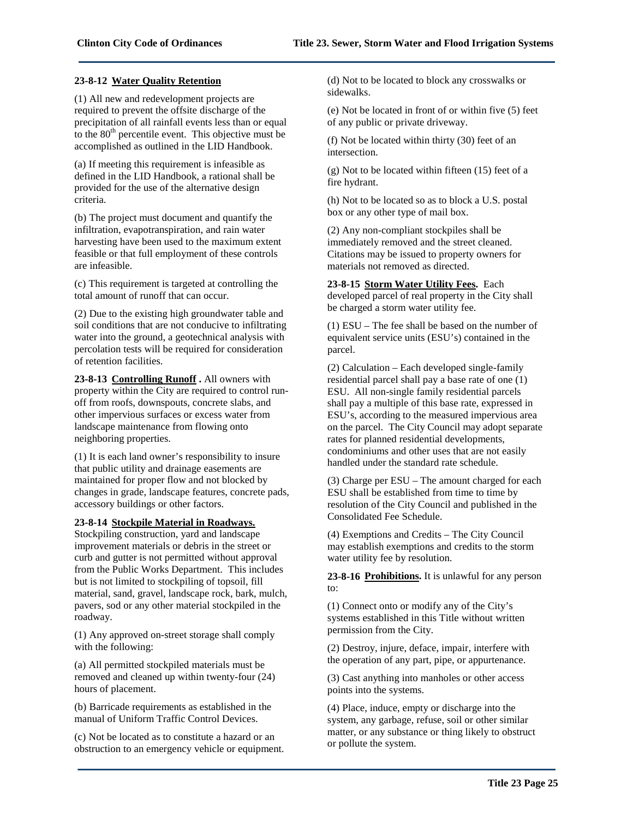#### **23-8-12 Water Quality Retention**

(1) All new and redevelopment projects are required to prevent the offsite discharge of the precipitation of all rainfall events less than or equal to the  $80<sup>th</sup>$  percentile event. This objective must be accomplished as outlined in the LID Handbook.

(a) If meeting this requirement is infeasible as defined in the LID Handbook, a rational shall be provided for the use of the alternative design criteria.

(b) The project must document and quantify the infiltration, evapotranspiration, and rain water harvesting have been used to the maximum extent feasible or that full employment of these controls are infeasible.

(c) This requirement is targeted at controlling the total amount of runoff that can occur.

(2) Due to the existing high groundwater table and soil conditions that are not conducive to infiltrating water into the ground, a geotechnical analysis with percolation tests will be required for consideration of retention facilities.

**23-8-13 Controlling Runoff .** All owners with property within the City are required to control runoff from roofs, downspouts, concrete slabs, and other impervious surfaces or excess water from landscape maintenance from flowing onto neighboring properties.

(1) It is each land owner's responsibility to insure that public utility and drainage easements are maintained for proper flow and not blocked by changes in grade, landscape features, concrete pads, accessory buildings or other factors.

#### **23-8-14 Stockpile Material in Roadways.**

Stockpiling construction, yard and landscape improvement materials or debris in the street or curb and gutter is not permitted without approval from the Public Works Department. This includes but is not limited to stockpiling of topsoil, fill material, sand, gravel, landscape rock, bark, mulch, pavers, sod or any other material stockpiled in the roadway.

(1) Any approved on-street storage shall comply with the following:

(a) All permitted stockpiled materials must be removed and cleaned up within twenty-four (24) hours of placement.

(b) Barricade requirements as established in the manual of Uniform Traffic Control Devices.

(c) Not be located as to constitute a hazard or an obstruction to an emergency vehicle or equipment. (d) Not to be located to block any crosswalks or sidewalks.

(e) Not be located in front of or within five (5) feet of any public or private driveway.

(f) Not be located within thirty (30) feet of an intersection.

(g) Not to be located within fifteen (15) feet of a fire hydrant.

(h) Not to be located so as to block a U.S. postal box or any other type of mail box.

(2) Any non-compliant stockpiles shall be immediately removed and the street cleaned. Citations may be issued to property owners for materials not removed as directed.

**23-8-15 Storm Water Utility Fees.** Each developed parcel of real property in the City shall be charged a storm water utility fee.

(1) ESU – The fee shall be based on the number of equivalent service units (ESU's) contained in the parcel.

(2) Calculation – Each developed single-family residential parcel shall pay a base rate of one (1) ESU. All non-single family residential parcels shall pay a multiple of this base rate, expressed in ESU's, according to the measured impervious area on the parcel. The City Council may adopt separate rates for planned residential developments, condominiums and other uses that are not easily handled under the standard rate schedule.

(3) Charge per ESU – The amount charged for each ESU shall be established from time to time by resolution of the City Council and published in the Consolidated Fee Schedule.

(4) Exemptions and Credits – The City Council may establish exemptions and credits to the storm water utility fee by resolution.

**23-8-16 Prohibitions.** It is unlawful for any person to:

(1) Connect onto or modify any of the City's systems established in this Title without written permission from the City.

(2) Destroy, injure, deface, impair, interfere with the operation of any part, pipe, or appurtenance.

(3) Cast anything into manholes or other access points into the systems.

(4) Place, induce, empty or discharge into the system, any garbage, refuse, soil or other similar matter, or any substance or thing likely to obstruct or pollute the system.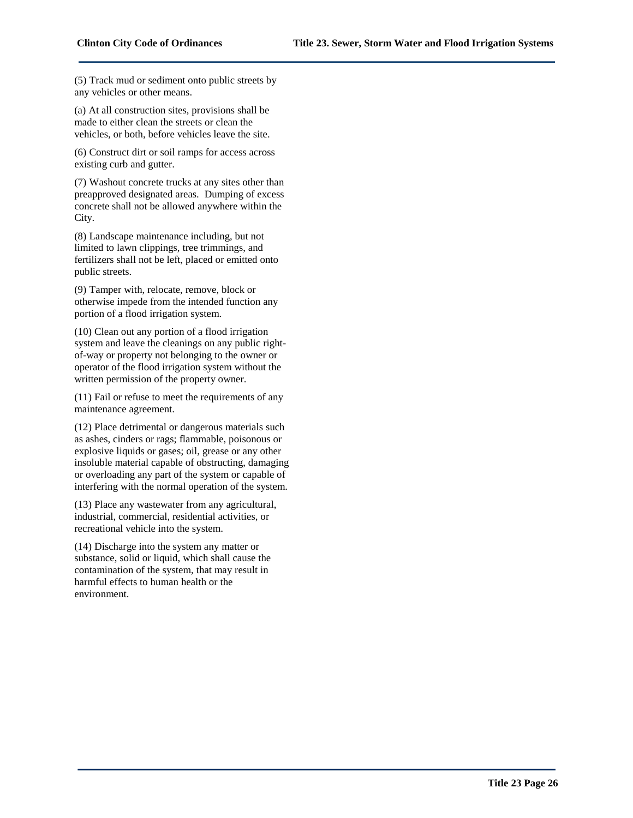(5) Track mud or sediment onto public streets by any vehicles or other means.

(a) At all construction sites, provisions shall be made to either clean the streets or clean the vehicles, or both, before vehicles leave the site.

(6) Construct dirt or soil ramps for access across existing curb and gutter.

(7) Washout concrete trucks at any sites other than preapproved designated areas. Dumping of excess concrete shall not be allowed anywhere within the City.

(8) Landscape maintenance including, but not limited to lawn clippings, tree trimmings, and fertilizers shall not be left, placed or emitted onto public streets.

(9) Tamper with, relocate, remove, block or otherwise impede from the intended function any portion of a flood irrigation system.

(10) Clean out any portion of a flood irrigation system and leave the cleanings on any public rightof-way or property not belonging to the owner or operator of the flood irrigation system without the written permission of the property owner.

(11) Fail or refuse to meet the requirements of any maintenance agreement.

(12) Place detrimental or dangerous materials such as ashes, cinders or rags; flammable, poisonous or explosive liquids or gases; oil, grease or any other insoluble material capable of obstructing, damaging or overloading any part of the system or capable of interfering with the normal operation of the system.

(13) Place any wastewater from any agricultural, industrial, commercial, residential activities, or recreational vehicle into the system.

(14) Discharge into the system any matter or substance, solid or liquid, which shall cause the contamination of the system, that may result in harmful effects to human health or the environment.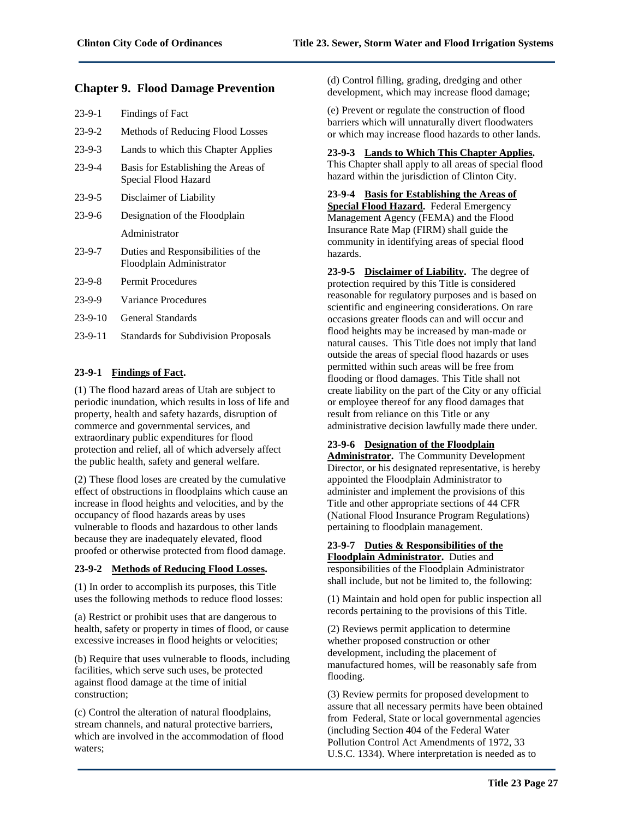# **Chapter 9. Flood Damage Prevention**

| $23-9-1$     | <b>Findings of Fact</b>                                     |
|--------------|-------------------------------------------------------------|
| $23-9-2$     | Methods of Reducing Flood Losses                            |
| $23-9-3$     | Lands to which this Chapter Applies                         |
| $23-9-4$     | Basis for Establishing the Areas of<br>Special Flood Hazard |
| $23 - 9 - 5$ | Disclaimer of Liability                                     |
| $23-9-6$     | Designation of the Floodplain                               |
|              | Administrator                                               |
| $23 - 9 - 7$ | Duties and Responsibilities of the                          |
|              | Floodplain Administrator                                    |
| $23 - 9 - 8$ | <b>Permit Procedures</b>                                    |
| $23-9-9$     | Variance Procedures                                         |
| $23-9-10$    | General Standards                                           |

# **23-9-1 Findings of Fact.**

(1) The flood hazard areas of Utah are subject to periodic inundation, which results in loss of life and property, health and safety hazards, disruption of commerce and governmental services, and extraordinary public expenditures for flood protection and relief, all of which adversely affect the public health, safety and general welfare.

(2) These flood loses are created by the cumulative effect of obstructions in floodplains which cause an increase in flood heights and velocities, and by the occupancy of flood hazards areas by uses vulnerable to floods and hazardous to other lands because they are inadequately elevated, flood proofed or otherwise protected from flood damage.

# **23-9-2 Methods of Reducing Flood Losses.**

(1) In order to accomplish its purposes, this Title uses the following methods to reduce flood losses:

(a) Restrict or prohibit uses that are dangerous to health, safety or property in times of flood, or cause excessive increases in flood heights or velocities;

(b) Require that uses vulnerable to floods, including facilities, which serve such uses, be protected against flood damage at the time of initial construction;

(c) Control the alteration of natural floodplains, stream channels, and natural protective barriers, which are involved in the accommodation of flood waters;

(d) Control filling, grading, dredging and other development, which may increase flood damage;

(e) Prevent or regulate the construction of flood barriers which will unnaturally divert floodwaters or which may increase flood hazards to other lands.

# **23-9-3 Lands to Which This Chapter Applies.**

This Chapter shall apply to all areas of special flood hazard within the jurisdiction of Clinton City.

**23-9-4 Basis for Establishing the Areas of Special Flood Hazard.** Federal Emergency Management Agency (FEMA) and the Flood Insurance Rate Map (FIRM) shall guide the community in identifying areas of special flood hazards.

**23-9-5 Disclaimer of Liability.** The degree of protection required by this Title is considered reasonable for regulatory purposes and is based on scientific and engineering considerations. On rare occasions greater floods can and will occur and flood heights may be increased by man-made or natural causes. This Title does not imply that land outside the areas of special flood hazards or uses permitted within such areas will be free from flooding or flood damages. This Title shall not create liability on the part of the City or any official or employee thereof for any flood damages that result from reliance on this Title or any administrative decision lawfully made there under.

# **23-9-6 Designation of the Floodplain**

**Administrator.** The Community Development Director, or his designated representative, is hereby appointed the Floodplain Administrator to administer and implement the provisions of this Title and other appropriate sections of 44 CFR (National Flood Insurance Program Regulations) pertaining to floodplain management.

# **23-9-7 Duties & Responsibilities of the**

**Floodplain Administrator.** Duties and responsibilities of the Floodplain Administrator shall include, but not be limited to, the following:

(1) Maintain and hold open for public inspection all records pertaining to the provisions of this Title.

(2) Reviews permit application to determine whether proposed construction or other development, including the placement of manufactured homes, will be reasonably safe from flooding.

(3) Review permits for proposed development to assure that all necessary permits have been obtained from Federal, State or local governmental agencies (including Section 404 of the Federal Water Pollution Control Act Amendments of 1972, 33 U.S.C. 1334). Where interpretation is needed as to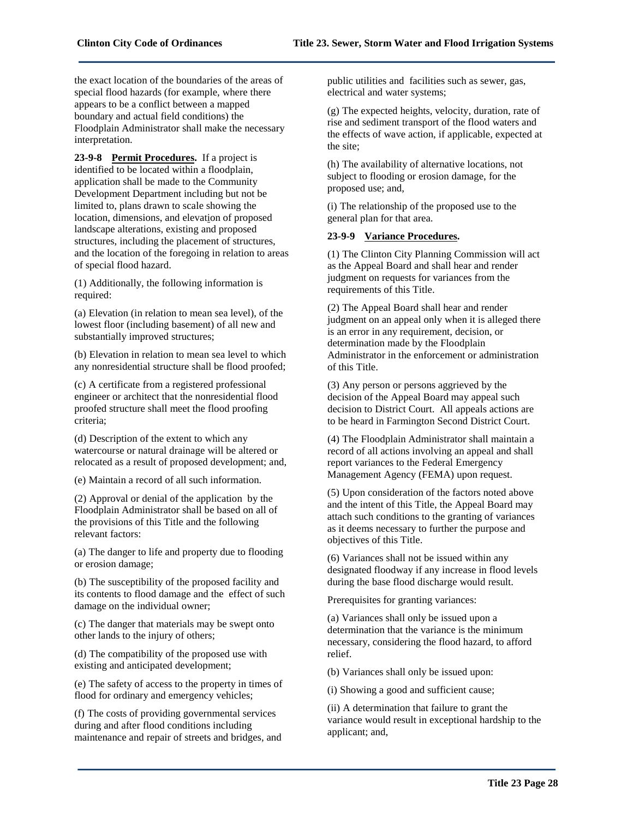the exact location of the boundaries of the areas of special flood hazards (for example, where there appears to be a conflict between a mapped boundary and actual field conditions) the Floodplain Administrator shall make the necessary interpretation.

**23-9-8 Permit Procedures.** If a project is identified to be located within a floodplain, application shall be made to the Community Development Department including but not be limited to, plans drawn to scale showing the location, dimensions, and elevation of proposed landscape alterations, existing and proposed structures, including the placement of structures, and the location of the foregoing in relation to areas of special flood hazard.

(1) Additionally, the following information is required:

(a) Elevation (in relation to mean sea level), of the lowest floor (including basement) of all new and substantially improved structures;

(b) Elevation in relation to mean sea level to which any nonresidential structure shall be flood proofed;

(c) A certificate from a registered professional engineer or architect that the nonresidential flood proofed structure shall meet the flood proofing criteria;

(d) Description of the extent to which any watercourse or natural drainage will be altered or relocated as a result of proposed development; and,

(e) Maintain a record of all such information.

(2) Approval or denial of the application by the Floodplain Administrator shall be based on all of the provisions of this Title and the following relevant factors:

(a) The danger to life and property due to flooding or erosion damage;

(b) The susceptibility of the proposed facility and its contents to flood damage and the effect of such damage on the individual owner;

(c) The danger that materials may be swept onto other lands to the injury of others;

(d) The compatibility of the proposed use with existing and anticipated development;

(e) The safety of access to the property in times of flood for ordinary and emergency vehicles;

(f) The costs of providing governmental services during and after flood conditions including maintenance and repair of streets and bridges, and public utilities and facilities such as sewer, gas, electrical and water systems;

(g) The expected heights, velocity, duration, rate of rise and sediment transport of the flood waters and the effects of wave action, if applicable, expected at the site;

(h) The availability of alternative locations, not subject to flooding or erosion damage, for the proposed use; and,

(i) The relationship of the proposed use to the general plan for that area.

# **23-9-9 Variance Procedures.**

(1) The Clinton City Planning Commission will act as the Appeal Board and shall hear and render judgment on requests for variances from the requirements of this Title.

(2) The Appeal Board shall hear and render judgment on an appeal only when it is alleged there is an error in any requirement, decision, or determination made by the Floodplain Administrator in the enforcement or administration of this Title.

(3) Any person or persons aggrieved by the decision of the Appeal Board may appeal such decision to District Court. All appeals actions are to be heard in Farmington Second District Court.

(4) The Floodplain Administrator shall maintain a record of all actions involving an appeal and shall report variances to the Federal Emergency Management Agency (FEMA) upon request.

(5) Upon consideration of the factors noted above and the intent of this Title, the Appeal Board may attach such conditions to the granting of variances as it deems necessary to further the purpose and objectives of this Title.

(6) Variances shall not be issued within any designated floodway if any increase in flood levels during the base flood discharge would result.

Prerequisites for granting variances:

(a) Variances shall only be issued upon a determination that the variance is the minimum necessary, considering the flood hazard, to afford relief.

(b) Variances shall only be issued upon:

(i) Showing a good and sufficient cause;

(ii) A determination that failure to grant the variance would result in exceptional hardship to the applicant; and,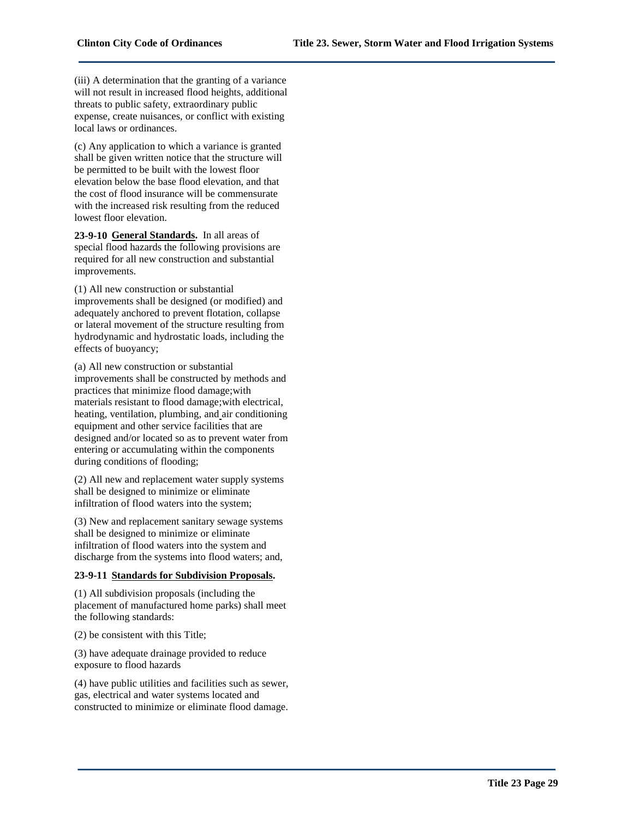(iii) A determination that the granting of a variance will not result in increased flood heights, additional threats to public safety, extraordinary public expense, create nuisances, or conflict with existing local laws or ordinances.

(c) Any application to which a variance is granted shall be given written notice that the structure will be permitted to be built with the lowest floor elevation below the base flood elevation, and that the cost of flood insurance will be commensurate with the increased risk resulting from the reduced lowest floor elevation.

**23-9-10 General Standards.** In all areas of special flood hazards the following provisions are required for all new construction and substantial improvements.

(1) All new construction or substantial improvements shall be designed (or modified) and adequately anchored to prevent flotation, collapse or lateral movement of the structure resulting from hydrodynamic and hydrostatic loads, including the effects of buoyancy;

(a) All new construction or substantial improvements shall be constructed by methods and practices that minimize flood damage;with materials resistant to flood damage;with electrical, heating, ventilation, plumbing, and air conditioning equipment and other service facilities that are designed and/or located so as to prevent water from entering or accumulating within the components during conditions of flooding;

(2) All new and replacement water supply systems shall be designed to minimize or eliminate infiltration of flood waters into the system;

(3) New and replacement sanitary sewage systems shall be designed to minimize or eliminate infiltration of flood waters into the system and discharge from the systems into flood waters; and,

#### **23-9-11 Standards for Subdivision Proposals.**

(1) All subdivision proposals (including the placement of manufactured home parks) shall meet the following standards:

(2) be consistent with this Title;

(3) have adequate drainage provided to reduce exposure to flood hazards

(4) have public utilities and facilities such as sewer, gas, electrical and water systems located and constructed to minimize or eliminate flood damage.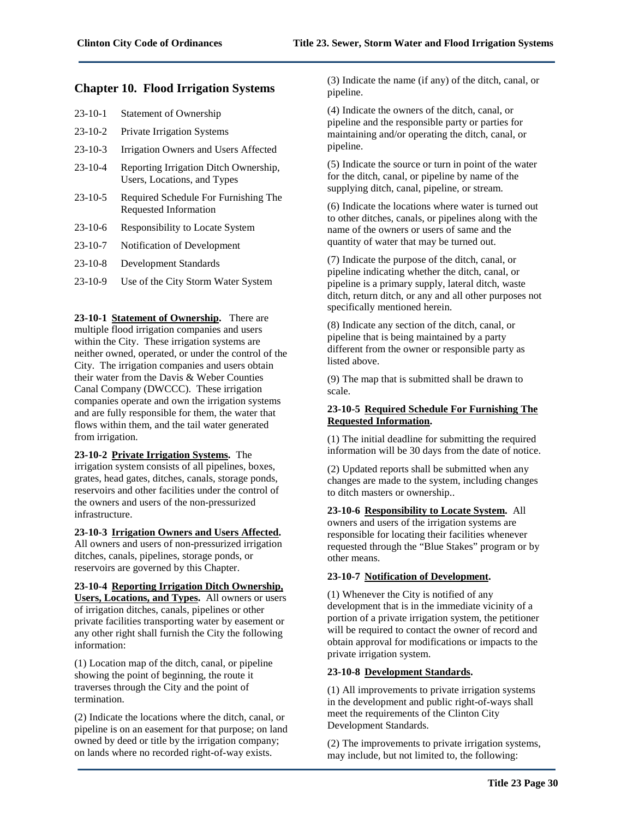# **Chapter 10. Flood Irrigation Systems**

| $23-10-1$     | <b>Statement of Ownership</b>                                        |
|---------------|----------------------------------------------------------------------|
| $23 - 10 - 2$ | <b>Private Irrigation Systems</b>                                    |
| $23-10-3$     | Irrigation Owners and Users Affected                                 |
| $23 - 10 - 4$ | Reporting Irrigation Ditch Ownership,<br>Users, Locations, and Types |
| 23-10-5       | Required Schedule For Eurnishing The                                 |

- 23-10-5 Required Schedule For Furnishing The Requested Information
- 23-10-6 Responsibility to Locate System
- 23-10-7 Notification of Development
- 23-10-8 Development Standards
- 23-10-9 Use of the City Storm Water System

**23-10-1 Statement of Ownership.** There are multiple flood irrigation companies and users within the City. These irrigation systems are neither owned, operated, or under the control of the City. The irrigation companies and users obtain their water from the Davis & Weber Counties Canal Company (DWCCC). These irrigation companies operate and own the irrigation systems and are fully responsible for them, the water that flows within them, and the tail water generated from irrigation.

# **23-10-2 Private Irrigation Systems.** The

irrigation system consists of all pipelines, boxes, grates, head gates, ditches, canals, storage ponds, reservoirs and other facilities under the control of the owners and users of the non-pressurized infrastructure.

**23-10-3 Irrigation Owners and Users Affected.**

All owners and users of non-pressurized irrigation ditches, canals, pipelines, storage ponds, or reservoirs are governed by this Chapter.

# **23-10-4 Reporting Irrigation Ditch Ownership,**

**Users, Locations, and Types.** All owners or users of irrigation ditches, canals, pipelines or other private facilities transporting water by easement or any other right shall furnish the City the following information:

(1) Location map of the ditch, canal, or pipeline showing the point of beginning, the route it traverses through the City and the point of termination.

(2) Indicate the locations where the ditch, canal, or pipeline is on an easement for that purpose; on land owned by deed or title by the irrigation company; on lands where no recorded right-of-way exists.

(3) Indicate the name (if any) of the ditch, canal, or pipeline.

(4) Indicate the owners of the ditch, canal, or pipeline and the responsible party or parties for maintaining and/or operating the ditch, canal, or pipeline.

(5) Indicate the source or turn in point of the water for the ditch, canal, or pipeline by name of the supplying ditch, canal, pipeline, or stream.

(6) Indicate the locations where water is turned out to other ditches, canals, or pipelines along with the name of the owners or users of same and the quantity of water that may be turned out.

(7) Indicate the purpose of the ditch, canal, or pipeline indicating whether the ditch, canal, or pipeline is a primary supply, lateral ditch, waste ditch, return ditch, or any and all other purposes not specifically mentioned herein.

(8) Indicate any section of the ditch, canal, or pipeline that is being maintained by a party different from the owner or responsible party as listed above.

(9) The map that is submitted shall be drawn to scale.

# **23-10-5 Required Schedule For Furnishing The Requested Information.**

(1) The initial deadline for submitting the required information will be 30 days from the date of notice.

(2) Updated reports shall be submitted when any changes are made to the system, including changes to ditch masters or ownership..

# **23-10-6 Responsibility to Locate System.** All

owners and users of the irrigation systems are responsible for locating their facilities whenever requested through the "Blue Stakes" program or by other means.

# **23-10-7 Notification of Development.**

(1) Whenever the City is notified of any development that is in the immediate vicinity of a portion of a private irrigation system, the petitioner will be required to contact the owner of record and obtain approval for modifications or impacts to the private irrigation system.

# **23-10-8 Development Standards.**

(1) All improvements to private irrigation systems in the development and public right-of-ways shall meet the requirements of the Clinton City Development Standards.

(2) The improvements to private irrigation systems, may include, but not limited to, the following: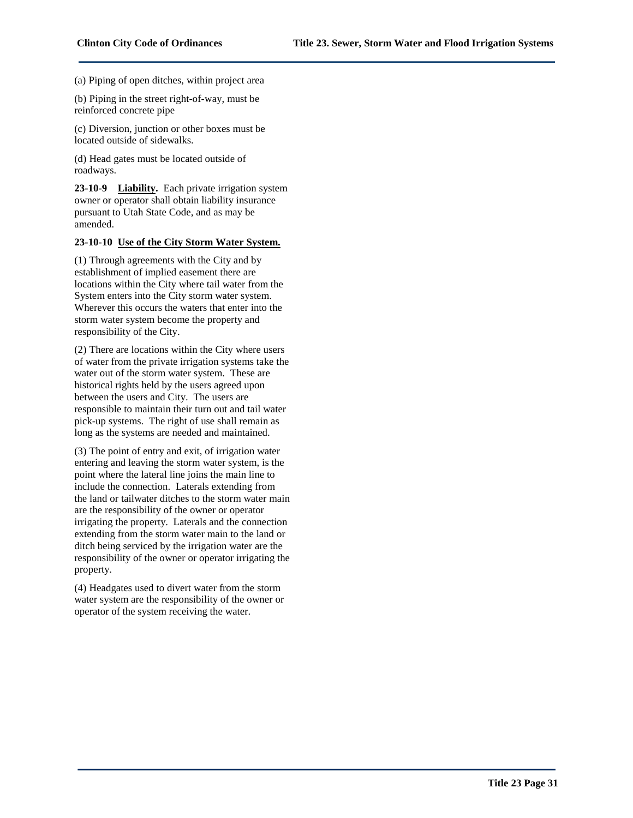(a) Piping of open ditches, within project area

(b) Piping in the street right-of-way, must be reinforced concrete pipe

(c) Diversion, junction or other boxes must be located outside of sidewalks.

(d) Head gates must be located outside of roadways.

**23-10-9 Liability.** Each private irrigation system owner or operator shall obtain liability insurance pursuant to Utah State Code, and as may be amended.

#### **23-10-10 Use of the City Storm Water System.**

(1) Through agreements with the City and by establishment of implied easement there are locations within the City where tail water from the System enters into the City storm water system. Wherever this occurs the waters that enter into the storm water system become the property and responsibility of the City.

(2) There are locations within the City where users of water from the private irrigation systems take the water out of the storm water system. These are historical rights held by the users agreed upon between the users and City. The users are responsible to maintain their turn out and tail water pick-up systems. The right of use shall remain as long as the systems are needed and maintained.

(3) The point of entry and exit, of irrigation water entering and leaving the storm water system, is the point where the lateral line joins the main line to include the connection. Laterals extending from the land or tailwater ditches to the storm water main are the responsibility of the owner or operator irrigating the property. Laterals and the connection extending from the storm water main to the land or ditch being serviced by the irrigation water are the responsibility of the owner or operator irrigating the property.

(4) Headgates used to divert water from the storm water system are the responsibility of the owner or operator of the system receiving the water.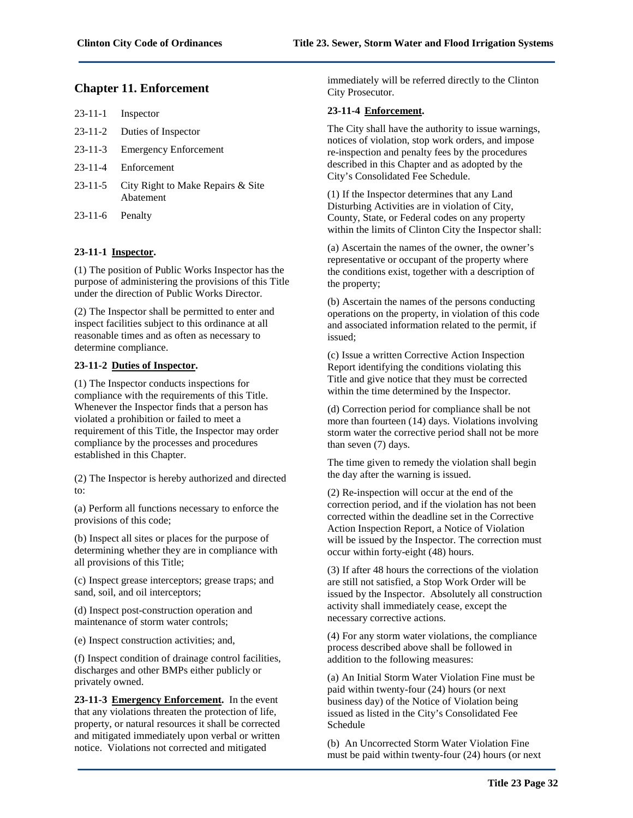# **Chapter 11. Enforcement**

| $23-11-1$ Inspector                                    |
|--------------------------------------------------------|
| 23-11-2 Duties of Inspector                            |
| 23-11-3 Emergency Enforcement                          |
| 23-11-4 Enforcement                                    |
| 23-11-5 City Right to Make Repairs & Site<br>Abatement |

23-11-6 Penalty

# **23-11-1 Inspector.**

(1) The position of Public Works Inspector has the purpose of administering the provisions of this Title under the direction of Public Works Director.

(2) The Inspector shall be permitted to enter and inspect facilities subject to this ordinance at all reasonable times and as often as necessary to determine compliance.

# **23-11-2 Duties of Inspector.**

(1) The Inspector conducts inspections for compliance with the requirements of this Title. Whenever the Inspector finds that a person has violated a prohibition or failed to meet a requirement of this Title, the Inspector may order compliance by the processes and procedures established in this Chapter.

(2) The Inspector is hereby authorized and directed to:

(a) Perform all functions necessary to enforce the provisions of this code;

(b) Inspect all sites or places for the purpose of determining whether they are in compliance with all provisions of this Title;

(c) Inspect grease interceptors; grease traps; and sand, soil, and oil interceptors;

(d) Inspect post-construction operation and maintenance of storm water controls;

(e) Inspect construction activities; and,

(f) Inspect condition of drainage control facilities, discharges and other BMPs either publicly or privately owned.

**23-11-3 Emergency Enforcement.** In the event that any violations threaten the protection of life, property, or natural resources it shall be corrected and mitigated immediately upon verbal or written notice. Violations not corrected and mitigated

immediately will be referred directly to the Clinton City Prosecutor.

# **23-11-4 Enforcement.**

The City shall have the authority to issue warnings, notices of violation, stop work orders, and impose re-inspection and penalty fees by the procedures described in this Chapter and as adopted by the City's Consolidated Fee Schedule.

(1) If the Inspector determines that any Land Disturbing Activities are in violation of City, County, State, or Federal codes on any property within the limits of Clinton City the Inspector shall:

(a) Ascertain the names of the owner, the owner's representative or occupant of the property where the conditions exist, together with a description of the property;

(b) Ascertain the names of the persons conducting operations on the property, in violation of this code and associated information related to the permit, if issued;

(c) Issue a written Corrective Action Inspection Report identifying the conditions violating this Title and give notice that they must be corrected within the time determined by the Inspector.

(d) Correction period for compliance shall be not more than fourteen (14) days. Violations involving storm water the corrective period shall not be more than seven (7) days.

The time given to remedy the violation shall begin the day after the warning is issued.

(2) Re-inspection will occur at the end of the correction period, and if the violation has not been corrected within the deadline set in the Corrective Action Inspection Report, a Notice of Violation will be issued by the Inspector. The correction must occur within forty-eight (48) hours.

(3) If after 48 hours the corrections of the violation are still not satisfied, a Stop Work Order will be issued by the Inspector. Absolutely all construction activity shall immediately cease, except the necessary corrective actions.

(4) For any storm water violations, the compliance process described above shall be followed in addition to the following measures:

(a) An Initial Storm Water Violation Fine must be paid within twenty-four (24) hours (or next business day) of the Notice of Violation being issued as listed in the City's Consolidated Fee Schedule

(b) An Uncorrected Storm Water Violation Fine must be paid within twenty-four (24) hours (or next